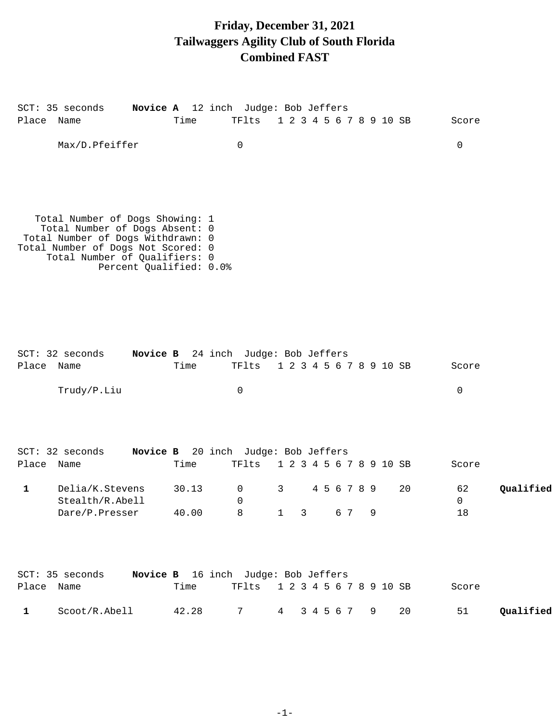# **Friday, December 31, 2021 Tailwaggers Agility Club of South Florida Combined FAST**

| Place Name   | SCT: 35 seconds                                                                                                                                                                                          | Novice A 12 inch Judge: Bob Jeffers<br>Time | TFlts            |              |              |             |     |  |   | 1 2 3 4 5 6 7 8 9 10 SB | Score   |           |
|--------------|----------------------------------------------------------------------------------------------------------------------------------------------------------------------------------------------------------|---------------------------------------------|------------------|--------------|--------------|-------------|-----|--|---|-------------------------|---------|-----------|
|              | Max/D.Pfeiffer                                                                                                                                                                                           |                                             | $\mathsf{O}$     |              |              |             |     |  |   |                         | 0       |           |
|              | Total Number of Dogs Showing: 1<br>Total Number of Dogs Absent: 0<br>Total Number of Dogs Withdrawn: 0<br>Total Number of Dogs Not Scored: 0<br>Total Number of Qualifiers: 0<br>Percent Qualified: 0.0% |                                             |                  |              |              |             |     |  |   |                         |         |           |
| Place Name   | SCT: 32 seconds                                                                                                                                                                                          | Novice B 24 inch Judge: Bob Jeffers<br>Time | TFlts            |              |              |             |     |  |   | 1 2 3 4 5 6 7 8 9 10 SB | Score   |           |
|              | Trudy/P.Liu                                                                                                                                                                                              |                                             | $\mathsf{O}$     |              |              |             |     |  |   |                         | 0       |           |
|              | SCT: 32 seconds                                                                                                                                                                                          | Novice B 20 inch Judge: Bob Jeffers         |                  |              |              |             |     |  |   |                         |         |           |
| Place Name   |                                                                                                                                                                                                          | Time                                        | TFlts            |              |              |             |     |  |   | 1 2 3 4 5 6 7 8 9 10 SB | Score   |           |
| $\mathbf{1}$ | Delia/K.Stevens<br>Stealth/R.Abell                                                                                                                                                                       | 30.13                                       | 0<br>$\mathbf 0$ | 3            |              | 4 5 6 7 8 9 |     |  |   | 20                      | 62<br>0 | Qualified |
|              | Dare/P.Presser                                                                                                                                                                                           | 40.00                                       | 8                | $\mathbf{1}$ | $\mathbf{3}$ |             | 6 7 |  | 9 |                         | 18      |           |
| Place Name   | SCT: 35 seconds                                                                                                                                                                                          | Novice B 16 inch Judge: Bob Jeffers<br>Time | TFlts            |              |              |             |     |  |   | 1 2 3 4 5 6 7 8 9 10 SB | Score   |           |
| $\mathbf{1}$ | Scoot/R.Abell                                                                                                                                                                                            | 42.28                                       | 7                | 4            |              | 3 4 5 6 7   |     |  | 9 | 20                      | 51      | Qualified |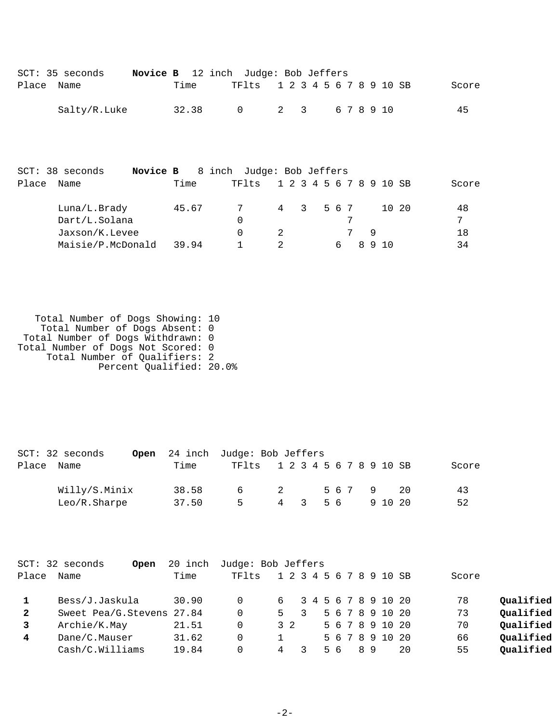|            | SCT: 35 seconds | Novice B 12 inch Judge: Bob Jeffers       |      |       |                               |  |  |  |  |  |       |
|------------|-----------------|-------------------------------------------|------|-------|-------------------------------|--|--|--|--|--|-------|
| Place Name |                 |                                           | Time |       | TF1ts 1 2 3 4 5 6 7 8 9 10 SB |  |  |  |  |  | Score |
|            | Salty/R.Luke    |                                           |      | 32.38 | 0 2 3 6 7 8 9 10              |  |  |  |  |  | 45    |
|            |                 |                                           |      |       |                               |  |  |  |  |  |       |
|            |                 |                                           |      |       |                               |  |  |  |  |  |       |
|            | SCT: 38 seconds | <b>Novice B</b> 8 inch Judge: Bob Jeffers |      |       |                               |  |  |  |  |  |       |

| Place | Name              | Time  | TF1ts | 1 2 3 4 5 6 7 8 9 10 SB |  |  |       | Score |
|-------|-------------------|-------|-------|-------------------------|--|--|-------|-------|
|       | Luna/L.Brady      | 45.67 |       | 4 3 5 6 7               |  |  | 10 20 | 48    |
|       | Dart/L.Solana     |       | 0     |                         |  |  |       | 7     |
|       | Jaxson/K.Levee    |       |       |                         |  |  |       | 18    |
|       | Maisie/P.McDonald | 39.94 |       |                         |  |  |       | 34    |

 Total Number of Dogs Showing: 10 Total Number of Dogs Absent: 0 Total Number of Dogs Withdrawn: 0 Total Number of Dogs Not Scored: 0 Total Number of Qualifiers: 2 Percent Qualified: 20.0%

|       | SCT: 32 seconds |       | Open 24 inch Judge: Bob Jeffers |                |     |    |  |       |    |       |
|-------|-----------------|-------|---------------------------------|----------------|-----|----|--|-------|----|-------|
| Place | Name            | Time  | TF1ts 1 2 3 4 5 6 7 8 9 10 SB   |                |     |    |  |       |    | Score |
|       | Willy/S.Minix   | 38.58 | <u>െ</u>                        | $\overline{2}$ |     |    |  | 5679  | 20 | 43    |
|       | Leo/R.Sharpe    | 37.50 | Б.                              |                | 4 3 | 56 |  | 91020 |    | 52    |

| Place        | $SCT: 32$ seconds<br>Open<br>Name | 20 inch<br>Time | Judge: Bob Jeffers<br>TF1ts | 1 2 3 4 5 6 7 8 9 10 SB |  |    |  |    |                 |    | Score |           |
|--------------|-----------------------------------|-----------------|-----------------------------|-------------------------|--|----|--|----|-----------------|----|-------|-----------|
|              | Bess/J.Jaskula                    | 30.90           | 0                           | 6 3 4 5 6 7 8 9 10 20   |  |    |  |    |                 |    | 78    | Qualified |
| $\mathbf{2}$ | Sweet Pea/G.Stevens 27.84         |                 | 0                           | $5 \quad 3$             |  |    |  |    | 5 6 7 8 9 10 20 |    | 73    | Qualified |
| 3            | Archie/K.May                      | 21.51           | 0                           | 3 2                     |  |    |  |    | 5 6 7 8 9 10 20 |    | 70    | Qualified |
| 4            | Dane/C.Mauser                     | 31.62           | 0                           |                         |  |    |  |    | 5 6 7 8 9 10 20 |    | 66    | Oualified |
|              | Cash/C.Williams                   | 19.84           | 0                           | 4                       |  | 56 |  | 89 |                 | 20 | 55    | Oualified |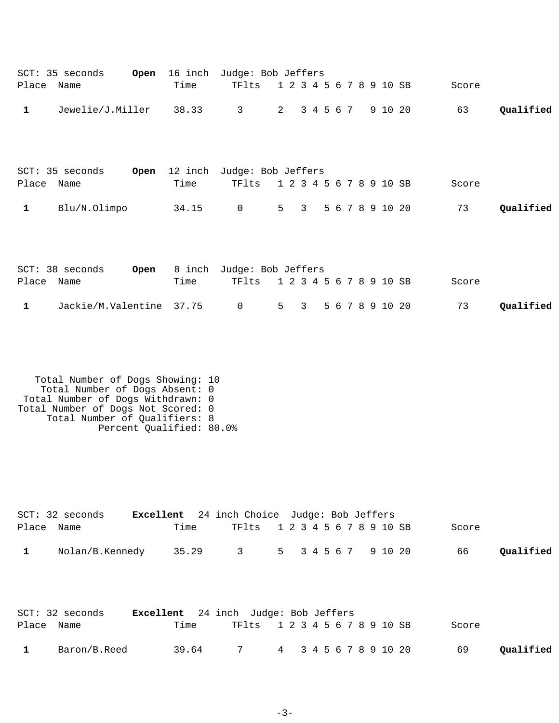|              | SCT: 35 seconds  | Open | 16 inch | Judge: Bob Jeffers |                         |  |  |                     |       |           |
|--------------|------------------|------|---------|--------------------|-------------------------|--|--|---------------------|-------|-----------|
| Place        | Name             |      | Time    | TFlts              | 1 2 3 4 5 6 7 8 9 10 SB |  |  |                     | Score |           |
| $\mathbf{1}$ | Jewelie/J.Miller |      | 38.33   | $\overline{3}$     | 2 3 4 5 6 7             |  |  | 9 10 20             | 63    | Qualified |
|              |                  |      |         |                    |                         |  |  |                     |       |           |
|              |                  |      |         |                    |                         |  |  |                     |       |           |
|              | SCT: 35 seconds  | Open | 12 inch | Judge: Bob Jeffers |                         |  |  |                     |       |           |
| Place        | Name             |      | Time    | TFlts              | 1 2 3 4 5 6 7 8 9 10 SB |  |  |                     | Score |           |
| $\mathbf{1}$ | Blu/N.Olimpo     |      | 34.15   | $\overline{0}$     |                         |  |  | 5 3 5 6 7 8 9 10 20 | 73    | Qualified |
|              |                  |      |         |                    |                         |  |  |                     |       |           |

|            | $SCT: 38$ seconds                              |      | <b>Open</b> 8 inch Judge: Bob Jeffers |  |  |  |  |       |           |
|------------|------------------------------------------------|------|---------------------------------------|--|--|--|--|-------|-----------|
| Place Name |                                                | Time | TF1ts 1 2 3 4 5 6 7 8 9 10 SB         |  |  |  |  | Score |           |
|            | Jackie/M.Valentine 37.75 0 5 3 5 6 7 8 9 10 20 |      |                                       |  |  |  |  | 73    | Oualified |

```
 Total Number of Dogs Showing: 10
 Total Number of Dogs Absent: 0
 Total Number of Dogs Withdrawn: 0
Total Number of Dogs Not Scored: 0
 Total Number of Qualifiers: 8
 Percent Qualified: 80.0%
```

|              | SCT: 32 seconds |      | <b>Excellent</b> 24 inch Choice Judge: Bob Jeffers |  |  |  |  |  |       |           |
|--------------|-----------------|------|----------------------------------------------------|--|--|--|--|--|-------|-----------|
| Place Name   |                 | Time | TF1ts 1 2 3 4 5 6 7 8 9 10 SB                      |  |  |  |  |  | Score |           |
| $\mathbf{1}$ | Nolan/B.Kennedy |      | 35.29 3 5 3 4 5 6 7 9 10 20                        |  |  |  |  |  | 66    | Qualified |

|            | SCT: 32 seconds | <b>Excellent</b> 24 inch Judge: Bob Jeffers |                               |  |  |  |       |           |
|------------|-----------------|---------------------------------------------|-------------------------------|--|--|--|-------|-----------|
| Place Name |                 | Time                                        | TF1ts 1 2 3 4 5 6 7 8 9 10 SB |  |  |  | Score |           |
|            | Baron/B.Reed    | 39.64                                       | 7 4 3 4 5 6 7 8 9 10 20       |  |  |  | 69    | Qualified |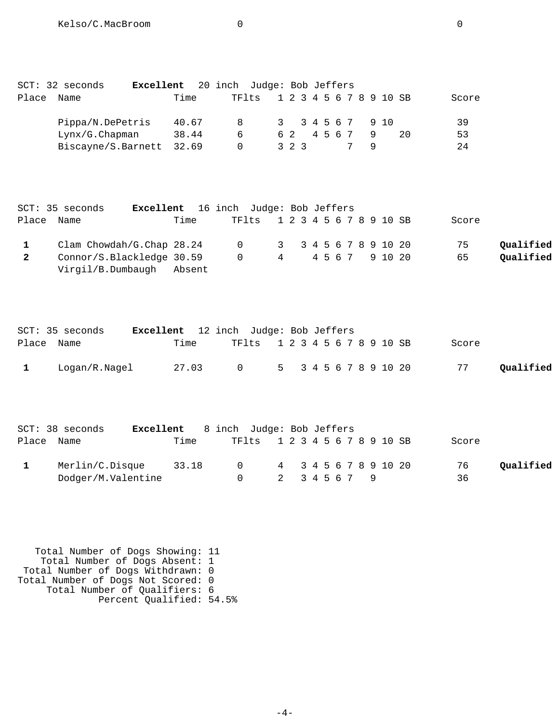|       | SCT: 32 seconds          | <b>Excellent</b> 20 inch Judge: Bob Jeffers |       |   |                               |  |         |  |  |  |                  |    |       |  |
|-------|--------------------------|---------------------------------------------|-------|---|-------------------------------|--|---------|--|--|--|------------------|----|-------|--|
| Place | Name                     |                                             | Time  |   | TF1ts 1 2 3 4 5 6 7 8 9 10 SB |  |         |  |  |  |                  |    | Score |  |
|       | Pippa/N.DePetris         |                                             | 40.67 |   |                               |  |         |  |  |  | 3 3 4 5 6 7 9 10 |    | 39    |  |
|       | $Lynx/G.C$ hapman        |                                             | 38.44 | 6 |                               |  | 62 4567 |  |  |  |                  | 20 | 53    |  |
|       | Biscayne/S.Barnett 32.69 |                                             |       |   |                               |  | 323     |  |  |  |                  |    | 24    |  |

|                | SCT: 35 seconds           | Excellent 16 inch Judge: Bob Jeffers |      |                               |  |  |  |  |  |       |           |
|----------------|---------------------------|--------------------------------------|------|-------------------------------|--|--|--|--|--|-------|-----------|
|                | Place Name                |                                      | Time | TF1ts 1 2 3 4 5 6 7 8 9 10 SB |  |  |  |  |  | Score |           |
|                | Clam Chowdah/G.Chap 28.24 |                                      |      | 0 3 3 4 5 6 7 8 9 10 20       |  |  |  |  |  | 75    | Oualified |
| $\overline{2}$ | Connor/S.Blackledge 30.59 |                                      |      | 0 4 4 5 6 7 9 10 20           |  |  |  |  |  | 65    | Qualified |
|                | Virgil/B.Dumbaugh Absent  |                                      |      |                               |  |  |  |  |  |       |           |

|            | SCT: 35 seconds | <b>Excellent</b> 12 inch Judge: Bob Jeffers |                               |  |  |  |  |       |           |
|------------|-----------------|---------------------------------------------|-------------------------------|--|--|--|--|-------|-----------|
| Place Name |                 | Time                                        | TF1ts 1 2 3 4 5 6 7 8 9 10 SB |  |  |  |  | Score |           |
|            | Loqan/R.Naqel   | 27.03                                       | 0 5 3 4 5 6 7 8 9 10 20       |  |  |  |  | 77    | Qualified |

|            | $SCT: 38$ seconds  |       | <b>Excellent</b> 8 inch Judge: Bob Jeffers |               |  |  |  |                       |       |           |
|------------|--------------------|-------|--------------------------------------------|---------------|--|--|--|-----------------------|-------|-----------|
| Place Name |                    | Time  | TF1ts 1 2 3 4 5 6 7 8 9 10 SB              |               |  |  |  |                       | Score |           |
|            | Merlin/C.Disque    | 33.18 | $\cap$                                     |               |  |  |  | 4 3 4 5 6 7 8 9 10 20 | 76    | Qualified |
|            | Dodger/M.Valentine |       |                                            | 2 3 4 5 6 7 9 |  |  |  |                       | 36    |           |

 Total Number of Dogs Showing: 11 Total Number of Dogs Absent: 1 Total Number of Dogs Withdrawn: 0 Total Number of Dogs Not Scored: 0 Total Number of Qualifiers: 6 Percent Qualified: 54.5%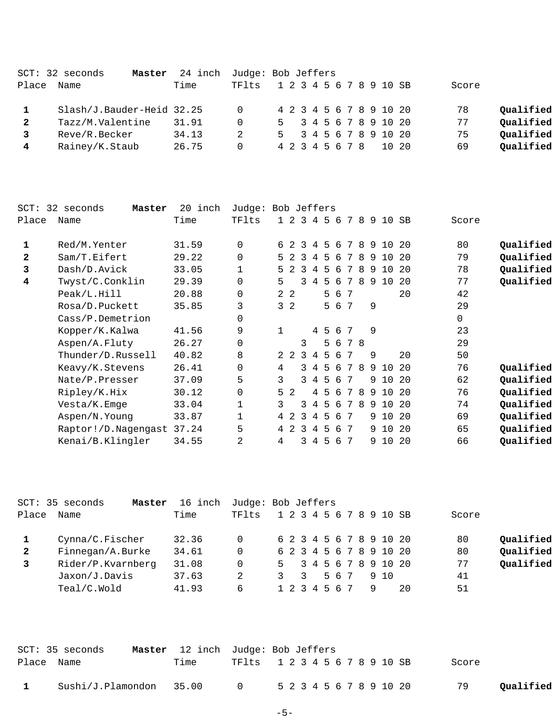|              | SCT: 32 seconds<br>Master | 24 inch Judge: Bob Jeffers |          |  |  |  |                 |  |  |                         |       |           |
|--------------|---------------------------|----------------------------|----------|--|--|--|-----------------|--|--|-------------------------|-------|-----------|
| Place        | Name                      | Time                       | TFlts    |  |  |  |                 |  |  | 1 2 3 4 5 6 7 8 9 10 SB | Score |           |
|              | Slash/J.Bauder-Heid 32.25 |                            | $\Omega$ |  |  |  |                 |  |  | 4 2 3 4 5 6 7 8 9 10 20 | 78    | Qualified |
| $\mathbf{2}$ | Tazz/M.Valentine          | 31.91                      | $\Omega$ |  |  |  |                 |  |  | 5 3 4 5 6 7 8 9 10 20   | 77    | Qualified |
|              | Reve/R.Becker             | 34.13                      | 2        |  |  |  |                 |  |  | 5 3 4 5 6 7 8 9 10 20   | 75    | Qualified |
|              | Rainey/K.Staub            | 26.75                      | $\Omega$ |  |  |  | 4 2 3 4 5 6 7 8 |  |  | 10, 20                  | 69    | Oualified |
|              |                           |                            |          |  |  |  |                 |  |  |                         |       |           |

| $SCT$ :      | 32 seconds<br>Master      | 20 inch | Judge: Bob Jeffers |                |                |   |                |         |     |      |    |   |      |     |          |           |
|--------------|---------------------------|---------|--------------------|----------------|----------------|---|----------------|---------|-----|------|----|---|------|-----|----------|-----------|
| Place        | Name                      | Time    | TFlts              |                | $1\quad 2$     | 3 | 4              | -5      |     | 6789 |    |   | 10   | SB  | Score    |           |
| 1            | Red/M.Yenter              | 31.59   | $\mathbf 0$        | б.             | $\mathcal{L}$  | 3 | 4              | -5      | -6  | 7    | -8 | 9 | 1 O  | 2.0 | 80       | Qualified |
| $\mathbf{2}$ | Sam/T.Eifert              | 29.22   | $\Omega$           |                | 52             | 3 | 4              | 5       | 6   | 7    | 8  | 9 | 10   | 20  | 79       | Qualified |
| 3            | Dash/D.Avick              | 33.05   | 1                  | 5              |                | २ | 4              | 5       | 6   | 7    | 8  | 9 | 10   | 20  | 78       | Qualified |
| 4            | Twyst/C.Conklin           | 29.39   | $\mathbf 0$        | 5              |                | ζ | 4              | -5      | -6  | 7    | -8 | 9 | 10   | 2.0 | 77       | Qualified |
|              | Peak/L.Hill               | 20.88   | $\Omega$           |                | 2 <sub>2</sub> |   |                | 5.      | -6  | 7    |    |   |      | 20  | 42       |           |
|              | Rosa/D.Puckett            | 35.85   | 3                  |                | 3 <sub>2</sub> |   |                | 5       | 67  |      |    | 9 |      |     | 29       |           |
|              | Cass/P.Demetrion          |         | 0                  |                |                |   |                |         |     |      |    |   |      |     | $\Omega$ |           |
|              | Kopper/K.Kalwa            | 41.56   | 9                  | 1              |                |   |                | 4 5 6 7 |     |      |    | 9 |      |     | 23       |           |
|              | Aspen/A.Fluty             | 26.27   | $\mathbf 0$        |                |                | 3 |                |         | 5 6 | 78   |    |   |      |     | 29       |           |
|              | Thunder/D.Russell         | 40.82   | 8                  |                | $2\quad 2$     | 3 | 4              | 5       | 6   |      |    | 9 |      | 20  | 50       |           |
|              | Keavy/K.Stevens           | 26.41   | $\Omega$           | 4              |                | ζ | 4              | 5       | 6   | 7    | 8  | 9 | 1 O  | 20  | 76       | Qualified |
|              | Nate/P.Presser            | 37.09   | 5                  | 3              |                | 3 | $\overline{4}$ | 5       | 6   | 7    |    | 9 | 1 O  | 2.0 | 62       | Qualified |
|              | Ripley/K.Hix              | 30.12   | $\mathbf 0$        |                | 5 <sub>2</sub> |   | 4              | 5       | 6   | 7    | 8  | 9 | 10   | 2.0 | 76       | Qualified |
|              | Vesta/K.Emge              | 33.04   | 1                  | 3              |                | 3 | 4              | 5       | 6   | 7    | 8  | 9 | 10   | 20  | 74       | Qualified |
|              | Aspen/N.Young             | 33.87   | 1                  |                | 4 2            | 3 | $\overline{4}$ | 5       | 6   | 7    |    |   | 9 10 | 20  | 69       | Qualified |
|              | Raptor!/D.Nagengast 37.24 |         | 5                  | $\overline{4}$ | 2              | 3 | 4              | 5       | 6   | -7   |    |   | 9 10 | 20  | 65       | Qualified |
|              | Kenai/B.Klingler          | 34.55   | 2                  | 4              |                | 3 | 4              | 5       | 6   | -7   |    | 9 | 10   | 20  | 66       | Qualified |

|              | SCT: 35 seconds<br>Master | 16 inch | Judge: Bob Jeffers |               |                |  |  |     |   |                         |     |       |           |
|--------------|---------------------------|---------|--------------------|---------------|----------------|--|--|-----|---|-------------------------|-----|-------|-----------|
| Place        | Name                      | Time    | TFlts              |               |                |  |  |     |   | 1 2 3 4 5 6 7 8 9 10 SB |     | Score |           |
|              | Cynna/C.Fischer           | 32.36   |                    |               |                |  |  |     |   | 6 2 3 4 5 6 7 8 9 10 20 |     | 80    | Qualified |
| $\mathbf{2}$ | Finnegan/A.Burke          | 34.61   | 0                  |               |                |  |  |     |   | 6 2 3 4 5 6 7 8 9 10 20 |     | 80    | Qualified |
| 3            | Rider/P.Kvarnberg         | 31.08   |                    |               |                |  |  |     |   | 5 3 4 5 6 7 8 9 10 20   |     | 77    | Qualified |
|              | Jaxon/J.Davis             | 37.63   | 2                  | $\mathcal{R}$ | $\overline{3}$ |  |  | 567 |   | 910                     |     | 41    |           |
|              | Teal/C.Wold               | 41.93   | б.                 |               | 1 2 3 4 5 6 7  |  |  |     | 9 |                         | -20 | 51    |           |
|              |                           |         |                    |               |                |  |  |     |   |                         |     |       |           |

|            | SCT: 35 seconds         |      |                | <b>Master</b> 12 inch Judge: Bob Jeffers |                 |
|------------|-------------------------|------|----------------|------------------------------------------|-----------------|
| Place Name |                         | Time |                | TF1ts 1 2 3 4 5 6 7 8 9 10 SB            | Score           |
|            | Sushi/J.Plamondon 35.00 |      | $\overline{0}$ | 5 2 3 4 5 6 7 8 9 10 20                  | 79<br>Qualified |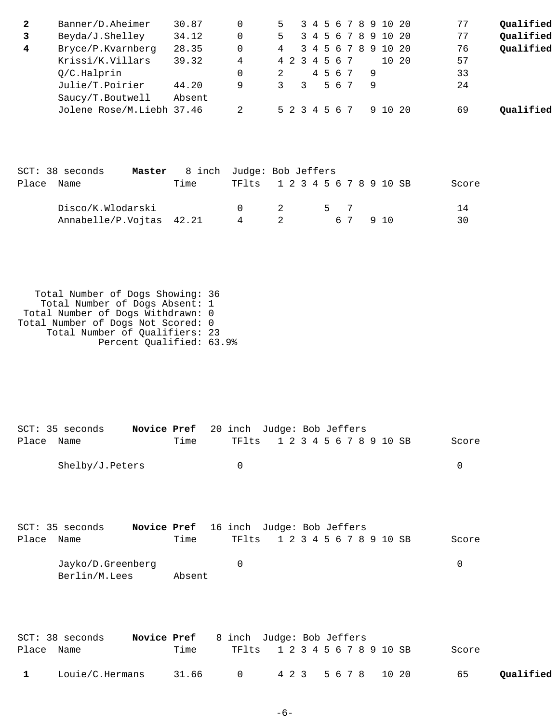| $\mathbf{2}$ | Banner/D.Aheimer          | 30.87  | $\mathbf 0$        | 5                       |               | 3 4 5          |                 |   |     |   |   | 6 7 8 9 10 20   |    | 77    | Qualified |
|--------------|---------------------------|--------|--------------------|-------------------------|---------------|----------------|-----------------|---|-----|---|---|-----------------|----|-------|-----------|
| 3            | Beyda/J.Shelley           | 34.12  | 0                  | 5                       |               | 3 4            | -5              | 6 | 7   | 8 | 9 | 10              | 20 | 77    | Qualified |
| 4            | Bryce/P.Kvarnberg         | 28.35  | 0                  | 4                       | 3             | $\overline{4}$ | 5               | 6 | 7   | 8 |   | 9 10            | 20 | 76    | Qualified |
|              | Krissi/K.Villars          | 39.32  | 4                  | 4 2                     | $\mathcal{E}$ | 4              | $5\overline{)}$ |   | 6 7 |   |   | 10 <sup>°</sup> | 20 | 57    |           |
|              | Q/C.Halprin               |        | 0                  | 2                       |               |                | 4 5             |   | 67  |   | 9 |                 |    | 33    |           |
|              | Julie/T.Poirier           | 44.20  | 9                  | 3                       | 3             |                | 5               |   | 6 7 |   | 9 |                 |    | 24    |           |
|              | Saucy/T.Boutwell          | Absent |                    |                         |               |                |                 |   |     |   |   |                 |    |       |           |
|              | Jolene Rose/M.Liebh 37.46 |        | 2                  | 5 2 3 4 5               |               |                |                 |   | 67  |   |   | 9 10 20         |    | 69    | Qualified |
|              |                           |        |                    |                         |               |                |                 |   |     |   |   |                 |    |       |           |
|              |                           |        |                    |                         |               |                |                 |   |     |   |   |                 |    |       |           |
|              |                           |        |                    |                         |               |                |                 |   |     |   |   |                 |    |       |           |
| $SCT$ :      | 38 seconds<br>Master      | 8 inch | Judge: Bob Jeffers |                         |               |                |                 |   |     |   |   |                 |    |       |           |
| Place        | Name                      | Time   | TFlts              | 1 2 3 4 5 6 7 8 9 10 SB |               |                |                 |   |     |   |   |                 |    | Score |           |
|              |                           |        |                    |                         |               |                |                 |   |     |   |   |                 |    |       |           |
|              | Disco/K.Wlodarski         |        | 0                  | 2                       |               |                | 5               |   | 7   |   |   |                 |    | 14    |           |
|              | Annabelle/P.Vojtas 42.21  |        | 4                  | 2                       |               |                |                 |   | 6 7 |   |   | 9 10            |    | 30    |           |
|              |                           |        |                    |                         |               |                |                 |   |     |   |   |                 |    |       |           |
|              |                           |        |                    |                         |               |                |                 |   |     |   |   |                 |    |       |           |
|              |                           |        |                    |                         |               |                |                 |   |     |   |   |                 |    |       |           |
|              |                           |        |                    |                         |               |                |                 |   |     |   |   |                 |    |       |           |

| Total Number of Dogs Showing: 36   |  |
|------------------------------------|--|
| Total Number of Dogs Absent: 1     |  |
| Total Number of Dogs Withdrawn: 0  |  |
| Total Number of Dogs Not Scored: 0 |  |
| Total Number of Qualifiers: 23     |  |
| Percent Qualified: 63.9%           |  |

|            | SCT: 35 seconds |             | <b>Novice Pref</b> 20 inch Judge: Bob Jeffers |                                                             |  |  |  |  |  |       |
|------------|-----------------|-------------|-----------------------------------------------|-------------------------------------------------------------|--|--|--|--|--|-------|
| Place Name |                 |             | Time                                          | TF1ts 1 2 3 4 5 6 7 8 9 10 SB                               |  |  |  |  |  | Score |
|            | Shelby/J.Peters |             |                                               | 0                                                           |  |  |  |  |  | 0     |
|            |                 |             |                                               |                                                             |  |  |  |  |  |       |
| Place Name | SCT: 35 seconds | Novice Pref | Time                                          | 16 inch Judge: Bob Jeffers<br>TF1ts 1 2 3 4 5 6 7 8 9 10 SB |  |  |  |  |  | Score |

| Jayko/D.Greenberg |        |  |  |
|-------------------|--------|--|--|
| Berlin/M.Lees     | Absent |  |  |

|              | SCT: 38 seconds | <b>Novice Pref</b> 8 inch Judge: Bob Jeffers |                               |  |       |           |
|--------------|-----------------|----------------------------------------------|-------------------------------|--|-------|-----------|
| Place Name   |                 | Time                                         | TF1ts 1 2 3 4 5 6 7 8 9 10 SB |  | Score |           |
| $\mathbf{1}$ | Louie/C.Hermans |                                              | 31.66 0 423 5678 1020         |  | 65    | Qualified |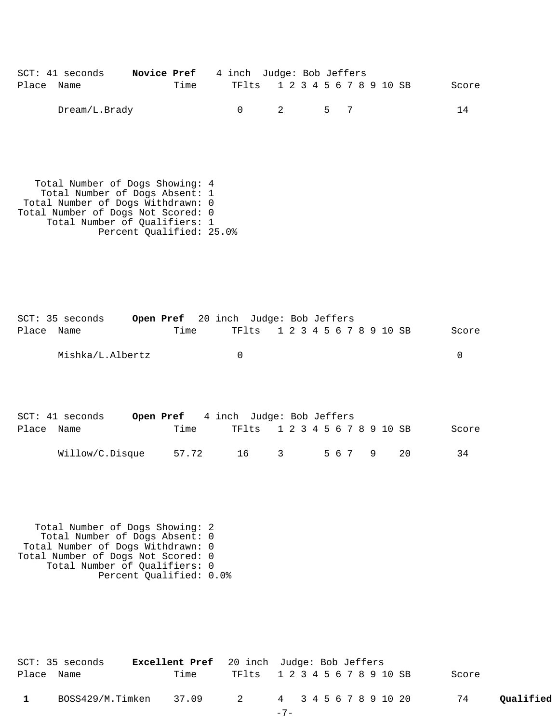|            | $SCT: 41$ seconds | <b>Novice Pref</b> 4 inch Judge: Bob Jeffers |      |                               |       |  |  |  |  |  |       |
|------------|-------------------|----------------------------------------------|------|-------------------------------|-------|--|--|--|--|--|-------|
| Place Name |                   |                                              | Time | TF1ts 1 2 3 4 5 6 7 8 9 10 SB |       |  |  |  |  |  | Score |
|            | Dream/L.Brady     |                                              |      |                               | 2 5 7 |  |  |  |  |  | 14    |

 Total Number of Dogs Showing: 4 Total Number of Dogs Absent: 1 Total Number of Dogs Withdrawn: 0 Total Number of Dogs Not Scored: 0 Total Number of Qualifiers: 1 Percent Qualified: 25.0%

|            | SCT: 35 seconds  | Open Pref 20 inch Judge: Bob Jeffers |          |                               |  |  |  |  |  |       |
|------------|------------------|--------------------------------------|----------|-------------------------------|--|--|--|--|--|-------|
| Place Name |                  | Time                                 |          | TF1ts 1 2 3 4 5 6 7 8 9 10 SB |  |  |  |  |  | Score |
|            | Mishka/L.Albertz |                                      | $\Omega$ |                               |  |  |  |  |  |       |
|            |                  |                                      |          |                               |  |  |  |  |  |       |

|            | $SCT: 41$ seconds | <b>Open Pref</b> 4 inch Judge: Bob Jeffers |  |                               |  |  |  |  |  |        |       |
|------------|-------------------|--------------------------------------------|--|-------------------------------|--|--|--|--|--|--------|-------|
| Place Name |                   | Time                                       |  | TF1ts 1 2 3 4 5 6 7 8 9 10 SB |  |  |  |  |  |        | Score |
|            | Willow/C.Disque   | 57.72                                      |  | $\overline{\mathbf{3}}$<br>16 |  |  |  |  |  | 567920 | 34    |

 Total Number of Dogs Showing: 2 Total Number of Dogs Absent: 0 Total Number of Dogs Withdrawn: 0 Total Number of Dogs Not Scored: 0 Total Number of Qualifiers: 0 Percent Qualified: 0.0%

|              | SCT: 35 seconds  |      | <b>Excellent Pref</b> 20 inch Judge: Bob Jeffers |       |  |  |  |  |       |           |
|--------------|------------------|------|--------------------------------------------------|-------|--|--|--|--|-------|-----------|
| Place Name   |                  | Time | TF1ts 1 2 3 4 5 6 7 8 9 10 SB                    |       |  |  |  |  | Score |           |
| $\mathbf{1}$ | BOSS429/M.Timken |      | 37.09 2 4 3 4 5 6 7 8 9 10 20                    |       |  |  |  |  | 74    | Qualified |
|              |                  |      |                                                  | $-7-$ |  |  |  |  |       |           |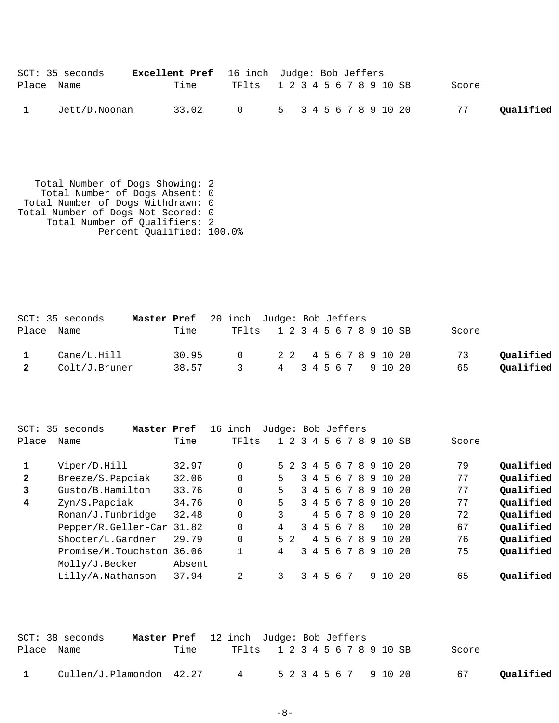|            | SCT: 35 seconds | <b>Excellent Pref</b> 16 inch Judge: Bob Jeffers |                               |  |  |  |  |  |       |           |
|------------|-----------------|--------------------------------------------------|-------------------------------|--|--|--|--|--|-------|-----------|
| Place Name |                 | Time                                             | TF1ts 1 2 3 4 5 6 7 8 9 10 SB |  |  |  |  |  | Score |           |
|            | Jett/D.Noonan   |                                                  | 33.02 0 5 3 4 5 6 7 8 9 10 20 |  |  |  |  |  | 77    | Qualified |

 Total Number of Dogs Showing: 2 Total Number of Dogs Absent: 0 Total Number of Dogs Withdrawn: 0 Total Number of Dogs Not Scored: 0 Total Number of Qualifiers: 2 Percent Qualified: 100.0%

|   | SCT: 35 seconds | Master Pref 20 inch Judge: Bob Jeffers |       |                               |  |  |  |  |  |       |           |
|---|-----------------|----------------------------------------|-------|-------------------------------|--|--|--|--|--|-------|-----------|
|   | Place Name      |                                        | Time  | TF1ts 1 2 3 4 5 6 7 8 9 10 SB |  |  |  |  |  | Score |           |
|   | Cane/L.Hill     |                                        | 30.95 | 0 2 2 4 5 6 7 8 9 10 20       |  |  |  |  |  | 73    | Oualified |
| 2 | Colt/J.Bruner   |                                        | 38.57 | 3 4 3 4 5 6 7 9 10 20         |  |  |  |  |  | 65    | Qualified |

| Place        | SCT: 35 seconds<br>Master Pref<br>Name | Time   | 16 inch<br>TFlts | Judge: Bob Jeffers |   |         |               |                |         |    | 1 2 3 4 5 6 7 | 8  | 9  | 10              | SB    | Score |           |
|--------------|----------------------------------------|--------|------------------|--------------------|---|---------|---------------|----------------|---------|----|---------------|----|----|-----------------|-------|-------|-----------|
|              | Viper/D.Hill                           | 32.97  | $\Omega$         |                    |   | $5 \t2$ | $\mathcal{R}$ | 4              |         |    | 5678          |    | -9 | 10 <sup>°</sup> | -20   | 79    | Qualified |
| $\mathbf{2}$ | Breeze/S.Papciak                       | 32.06  | $\Omega$         |                    | 5 |         | $\mathcal{L}$ | $\overline{4}$ |         |    | 567           | 8  | 9  | 10 <sup>°</sup> | -20   | 77    | Qualified |
| 3            | Gusto/B.Hamilton                       | 33.76  | $\Omega$         |                    | 5 |         |               | 3 4            |         | 56 | 7             | 8  | -9 | 10              | 2.0   | 77    | Qualified |
| 4            | Zyn/S.Papciak                          | 34.76  | $\Omega$         |                    | 5 |         |               |                |         |    | 3 4 5 6 7     | -8 | -9 | 10 <sup>°</sup> | -20   | 77    | Qualified |
|              | Ronan/J.Tunbridge                      | 32.48  | $\Omega$         |                    | 3 |         |               |                |         |    | 4 5 6 7       | 8  | -9 |                 | 10 20 | 72    | Qualified |
|              | Pepper/R.Geller-Car                    | 31.82  | 0                |                    | 4 |         |               |                | 3 4 5 6 |    |               | 78 |    | $10^{-}$        | - 20  | 67    | Oualified |
|              | Shooter/L.Gardner                      | 29.79  | $\Omega$         |                    |   | $5 \t2$ |               |                | 4 5 6   |    | 7             | -8 | -9 | 1 O             | 20    | 76    | Qualified |
|              | Promise/M.Touchston 36.06              |        |                  |                    | 4 |         |               | $3 \quad 4$    |         |    | 567           |    | 89 | 10 <sup>°</sup> | -20   | 75    | Qualified |
|              | Molly/J.Becker                         | Absent |                  |                    |   |         |               |                |         |    |               |    |    |                 |       |       |           |
|              | Lilly/A.Nathanson                      | 37.94  | 2                |                    | 3 |         |               | 34             | .5.     | -6 |               |    | 9  | 10              | -20   | 65    | Oualified |

|            | SCT: 38 seconds                                  |      | <b>Master Pref</b> 12 inch Judge: Bob Jeffers |  |  |  |  |  |       |           |
|------------|--------------------------------------------------|------|-----------------------------------------------|--|--|--|--|--|-------|-----------|
| Place Name |                                                  | Time | TF1ts 1 2 3 4 5 6 7 8 9 10 SB                 |  |  |  |  |  | Score |           |
|            | Cullen/J.Plamondon 42.27 4 5 2 3 4 5 6 7 9 10 20 |      |                                               |  |  |  |  |  | 67    | Qualified |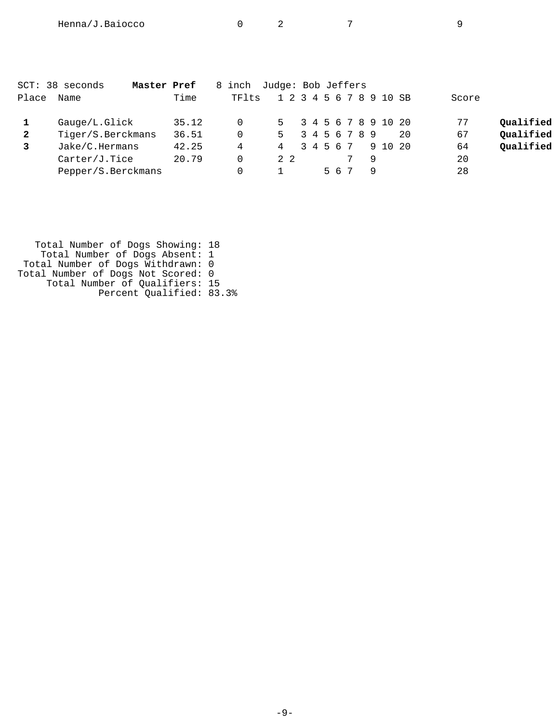|       | SCT: 38 seconds<br>Master Pref |       | 8 inch   | Judge: Bob Jeffers      |           |     |                       |    |       |           |
|-------|--------------------------------|-------|----------|-------------------------|-----------|-----|-----------------------|----|-------|-----------|
| Place | Name                           | Time  | TF1ts    | 1 2 3 4 5 6 7 8 9 10 SB |           |     |                       |    | Score |           |
|       | Gauge/L.Glick                  | 35.12 | $\Omega$ |                         |           |     | 5 3 4 5 6 7 8 9 10 20 |    | 77    | Qualified |
| 2     | Tiger/S.Berckmans              | 36.51 | $\Omega$ | 5 3 4 5 6 7 8 9         |           |     |                       | 20 | 67    | Qualified |
|       | Jake/C.Hermans                 | 42.25 | 4        | 4                       | 3 4 5 6 7 |     | 9 10 20               |    | 64    | Qualified |
|       | Carter/J.Tice                  | 20.79 | $\Omega$ | 2 2                     |           |     |                       |    | 20    |           |
|       | Pepper/S.Berckmans             |       |          |                         |           | 567 |                       |    | 28    |           |
|       |                                |       |          |                         |           |     |                       |    |       |           |

| Total Number of Dogs Showing: 18   |  |
|------------------------------------|--|
| Total Number of Dogs Absent: 1     |  |
| Total Number of Dogs Withdrawn: 0  |  |
| Total Number of Dogs Not Scored: 0 |  |
| Total Number of Qualifiers: 15     |  |
| Percent Qualified: 83.3%           |  |
|                                    |  |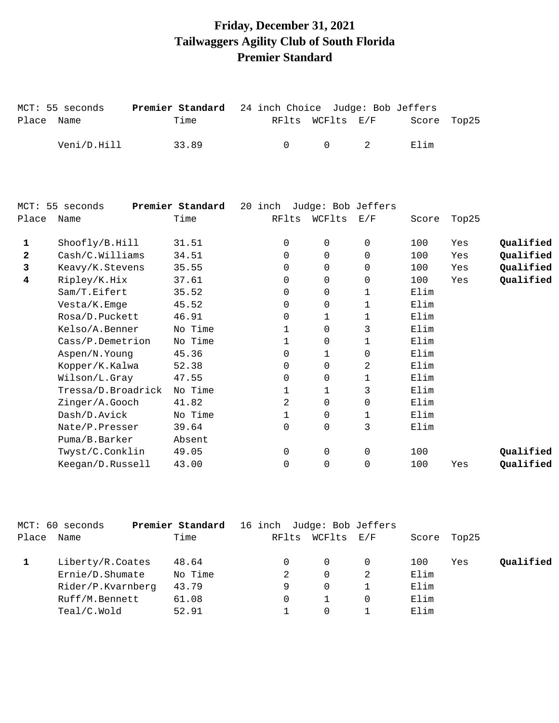## **Friday, December 31, 2021 Tailwaggers Agility Club of South Florida Premier Standard**

MCT: 55 seconds **Premier Standard** 24 inch Choice Judge: Bob Jeffers

Place Name Time Time RFlts WCFlts E/F Score Top25

Veni/D.Hill 33.89 0 0 2 Elim

| MCT:         | 55 seconds         | Premier Standard | 20 inch  | Judge: Bob Jeffers |             |       |       |           |
|--------------|--------------------|------------------|----------|--------------------|-------------|-------|-------|-----------|
| Place        | Name               | Time             | RFlts    | WCFlts             | E/F         | Score | Top25 |           |
| 1            | Shoofly/B.Hill     | 31.51            | 0        | 0                  | 0           | 100   | Yes   | Qualified |
| $\mathbf{2}$ | Cash/C.Williams    | 34.51            | 0        | $\mathbf 0$        | $\Omega$    | 100   | Yes   | Qualified |
| 3            | Keavy/K.Stevens    | 35.55            | 0        | $\Omega$           | $\Omega$    | 100   | Yes   | Qualified |
| 4            | Ripley/K.Hix       | 37.61            | 0        | $\Omega$           | 0           | 100   | Yes   | Qualified |
|              | Sam/T.Eifert       | 35.52            | 0        | 0                  | 1           | Elim  |       |           |
|              | Vesta/K.Emge       | 45.52            | $\Omega$ | $\Omega$           | 1           | Elim  |       |           |
|              | Rosa/D.Puckett     | 46.91            | $\Omega$ | $\mathbf{1}$       | 1           | Elim  |       |           |
|              | Kelso/A.Benner     | No Time          | 1        | $\Omega$           | 3           | Elim  |       |           |
|              | Cass/P.Demetrion   | No Time          | 1        | 0                  | 1           | Elim  |       |           |
|              | Aspen/N.Young      | 45.36            | 0        | 1                  | $\Omega$    | Elim  |       |           |
|              | Kopper/K.Kalwa     | 52.38            | $\Omega$ | $\Omega$           | 2           | Elim  |       |           |
|              | Wilson/L.Gray      | 47.55            | 0        | $\Omega$           | 1           | Elim  |       |           |
|              | Tressa/D.Broadrick | No Time          | 1        | 1                  | 3           | Elim  |       |           |
|              | Zinger/A.Gooch     | 41.82            | 2        | $\Omega$           | $\mathbf 0$ | Elim  |       |           |
|              | Dash/D.Avick       | No Time          | 1        | 0                  | 1           | Elim  |       |           |
|              | Nate/P.Presser     | 39.64            | $\Omega$ | $\Omega$           | 3           | Elim  |       |           |
|              | Puma/B.Barker      | Absent           |          |                    |             |       |       |           |
|              | Twyst/C.Conklin    | 49.05            | 0        | 0                  | $\Omega$    | 100   |       | Qualified |
|              | Keegan/D.Russell   | 43.00            | 0        | 0                  | 0           | 100   | Yes   | Qualified |
|              |                    |                  |          |                    |             |       |       |           |

|       | MCT: 60 seconds   | Premier Standard | 16 inch Judge: Bob Jeffers |          |                   |      |             |           |
|-------|-------------------|------------------|----------------------------|----------|-------------------|------|-------------|-----------|
| Place | Name              | Time             | RFlts                      | WCFlts   | $\rm E$ / $\rm F$ |      | Score Top25 |           |
|       | Liberty/R.Coates  | 48.64            |                            | $\Omega$ |                   | 100  | Yes         | Qualified |
|       | Ernie/D.Shumate   | No Time          |                            | $\Omega$ | 2                 | Elim |             |           |
|       | Rider/P.Kvarnberg | 43.79            | 9                          | $\Omega$ |                   | Elim |             |           |
|       | Ruff/M.Bennett    | 61.08            |                            |          |                   | Elim |             |           |
|       | Teal/C.Wold       | 52.91            |                            | 0        |                   | Elim |             |           |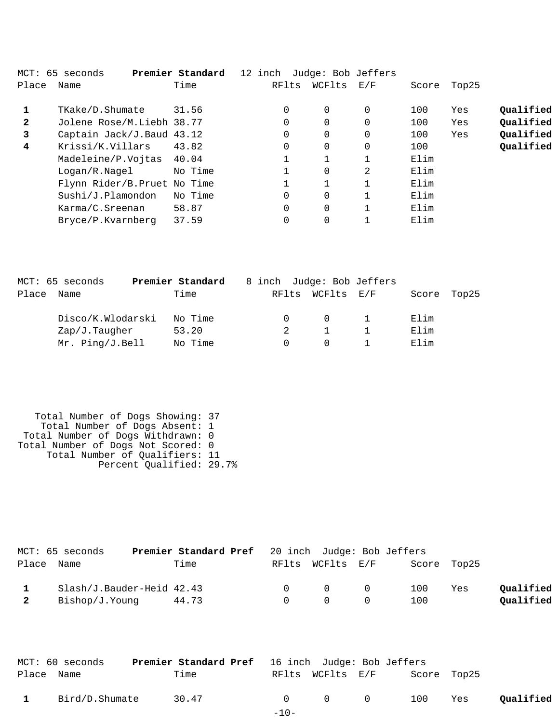|                         | MCT: 65 seconds              | Premier Standard | 12 inch Judge: Bob Jeffers |          |     |       |       |           |
|-------------------------|------------------------------|------------------|----------------------------|----------|-----|-------|-------|-----------|
| Place                   | Name                         | Time             | RFlts                      | WCFlts   | E/F | Score | Top25 |           |
|                         |                              |                  |                            |          |     |       |       |           |
| $\mathbf{1}$            | TKake/D.Shumate              | 31.56            | $\Omega$                   | $\Omega$ | 0   | 100   | Yes   | Qualified |
| $\mathbf{2}$            | Jolene Rose/M.Liebh 38.77    |                  | $\Omega$                   | $\Omega$ | 0   | 100   | Yes   | Oualified |
| 3                       | Captain Jack/J.Baud 43.12    |                  | 0                          | $\Omega$ | 0   | 100   | Yes   | Oualified |
| $\overline{\mathbf{4}}$ | Krissi/K.Villars             | 43.82            | 0                          | $\Omega$ | 0   | 100   |       | Qualified |
|                         | Madeleine/P.Vojtas           | 40.04            |                            |          |     | Elim  |       |           |
|                         | Logan/R.Nagel                | No Time          |                            | $\Omega$ | 2   | Elim  |       |           |
|                         | Flynn Rider/B. Pruet No Time |                  |                            |          |     | Elim  |       |           |
|                         | Sushi/J.Plamondon            | No Time          | $\Omega$                   | $\Omega$ |     | Elim  |       |           |
|                         | Karma/C.Sreenan              | 58.87            | $\Omega$                   | $\Omega$ |     | Elim  |       |           |
|                         | Bryce/P.Kvarnberg            | 37.59            | 0                          |          |     | Elim  |       |           |
|                         |                              |                  |                            |          |     |       |       |           |

|       | MCT: 65 seconds   | Premier Standard | 8 inch Judge: Bob Jeffers |            |       |       |
|-------|-------------------|------------------|---------------------------|------------|-------|-------|
| Place | Name              | Time             | RFlts                     | WCFlts E/F | Score | Top25 |
|       | Disco/K.Wlodarski | No Time          |                           |            | Elim  |       |
|       | Zap/J.Taugher     | 53.20            |                           |            | Elim  |       |
|       | $Mr.$ Ping/J.Bell | No Time          |                           |            | Elim  |       |

| Total Number of Dogs Showing: 37   |  |
|------------------------------------|--|
| Total Number of Dogs Absent: 1     |  |
| Total Number of Dogs Withdrawn: 0  |  |
| Total Number of Dogs Not Scored: 0 |  |
| Total Number of Qualifiers: 11     |  |
| Percent Qualified: 29.7%           |  |
|                                    |  |

| MCT: 65 seconds           | <b>Premier Standard Pref</b> 20 inch Judge: Bob Jeffers |        |                  |   |             |     |           |
|---------------------------|---------------------------------------------------------|--------|------------------|---|-------------|-----|-----------|
| Place Name                | Time                                                    |        | RFlts WCFlts E/F |   | Score Top25 |     |           |
| Slash/J.Bauder-Heid 42.43 |                                                         | $\cap$ | $\Omega$ 0       |   | 100         | Yes | Oualified |
| Bishop/J.Younq            | 44.73                                                   | $\cap$ | $\bigcap$        | 0 | 100         |     | Oualified |

|              | MCT: 60 seconds | <b>Premier Standard Pref</b> 16 inch Judge: Bob Jeffers |        |                  |                                  |             |     |           |
|--------------|-----------------|---------------------------------------------------------|--------|------------------|----------------------------------|-------------|-----|-----------|
| Place Name   |                 | Time                                                    |        | RFlts WCFlts E/F |                                  | Score Top25 |     |           |
| $\mathbf{1}$ | Bird/D.Shumate  | 30.47                                                   |        |                  | $0 \qquad 0 \qquad 0 \qquad 100$ |             | Yes | Qualified |
|              |                 |                                                         | $-10-$ |                  |                                  |             |     |           |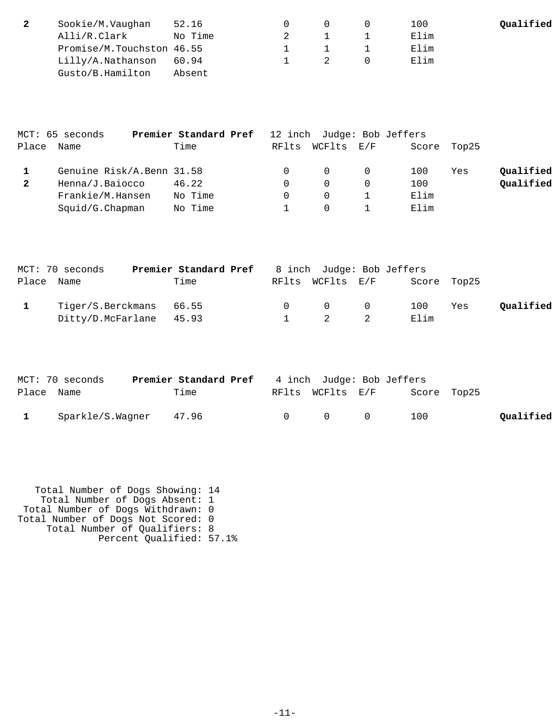| Sookie/M.Vaughan          | 52.16   |  | 100  | Qualified |
|---------------------------|---------|--|------|-----------|
| Alli/R.Clark              | No Time |  | Elim |           |
| Promise/M.Touchston 46.55 |         |  | Elim |           |
| Lilly/A.Nathanson         | 60.94   |  | Elim |           |
| Gusto/B.Hamilton          | Absent  |  |      |           |

|              | MCT: 65 seconds           | Premier Standard Pref |       |                | 12 inch Judge: Bob Jeffers |             |     |           |
|--------------|---------------------------|-----------------------|-------|----------------|----------------------------|-------------|-----|-----------|
| Place        | Name                      | Time                  | RFlts | WCFlts E/F     |                            | Score Top25 |     |           |
|              | Genuine Risk/A.Benn 31.58 |                       |       | $\overline{0}$ | $\Omega$                   | 100         | Yes | Qualified |
| $\mathbf{2}$ | Henna/J.Baiocco           | 46.22                 |       |                |                            | 100         |     | Qualified |
|              | Frankie/M.Hansen          | No Time               |       | $\Omega$       |                            | Elim        |     |           |
|              | Squid/G.Chapman           | No Time               |       |                |                            | Elim        |     |           |

| MCT: 70 seconds         | Premier Standard Pref |        | 8 inch Judge: Bob Jeffers                  |             |     |           |
|-------------------------|-----------------------|--------|--------------------------------------------|-------------|-----|-----------|
| Place Name              | Time                  |        | RFlts WCFlts E/F                           | Score Top25 |     |           |
| Tiger/S.Berckmans 66.55 |                       | $\cap$ | $\begin{array}{ccc} & & & 0 & \end{array}$ | 100         | Yes | Qualified |
| Ditty/D.McFarlane 45.93 |                       |        | 2 2                                        | Elim        |     |           |

|              | MCT: 70 seconds  | Premier Standard Pref |        | 4 inch Judge: Bob Jeffers |           |             |           |
|--------------|------------------|-----------------------|--------|---------------------------|-----------|-------------|-----------|
| Place Name   |                  | Time                  |        | RFlts WCFlts E/F          |           | Score Top25 |           |
| $\mathbf{1}$ | Sparkle/S.Waqner | 47.96                 | $\cap$ | $\Omega$                  | $\bigcap$ | 100         | Qualified |

 Total Number of Dogs Showing: 14 Total Number of Dogs Absent: 1 Total Number of Dogs Withdrawn: 0 Total Number of Dogs Not Scored: 0 Total Number of Qualifiers: 8 Percent Qualified: 57.1%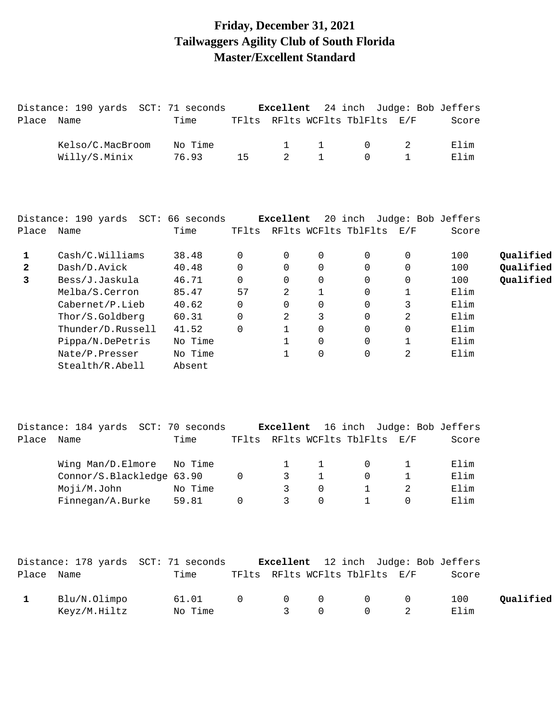# **Friday, December 31, 2021 Tailwaggers Agility Club of South Florida Master/Excellent Standard**

|              | Distance: 190 yards SCT: 71 seconds         |         |             | Excellent   |              | 24 inch Judge: Bob Jeffers                                   |             |       |           |
|--------------|---------------------------------------------|---------|-------------|-------------|--------------|--------------------------------------------------------------|-------------|-------|-----------|
| Place        | Name                                        | Time    |             |             |              | TFlts RFlts WCFlts TblFlts                                   | E/F         | Score |           |
|              | Kelso/C.MacBroom                            | No Time |             | 1           | $\mathbf 1$  | $\mathbf 0$                                                  | 2           | Elim  |           |
|              | Willy/S.Minix                               | 76.93   | 15          | 2           | $\mathbf{1}$ | $\Omega$                                                     | $\mathbf 1$ | Elim  |           |
|              |                                             |         |             |             |              |                                                              |             |       |           |
|              | Distance: 190 yards SCT: 66 seconds         |         |             | Excellent   |              | 20 inch Judge: Bob Jeffers                                   |             |       |           |
| Place Name   |                                             | Time    |             |             |              | TFlts RFlts WCFlts TblFlts E/F                               |             | Score |           |
| 1            | Cash/C.Williams                             | 38.48   | 0           | 0           | 0            | 0                                                            | 0           | 100   | Qualified |
| 2            | Dash/D.Avick                                | 40.48   | 0           | 0           | 0            | 0                                                            | 0           | 100   | Qualified |
| 3            | Bess/J.Jaskula                              | 46.71   | 0           | 0           | 0            | 0                                                            | 0           | 100   | Qualified |
|              | Melba/S.Cerron                              | 85.47   | 57          | 2           | $\mathbf 1$  | 0                                                            | 1           | Elim  |           |
|              | Cabernet/P.Lieb                             | 40.62   | $\mathbf 0$ | 0           | 0            | 0                                                            | 3           | Elim  |           |
|              | Thor/S.Goldberg                             | 60.31   | 0           | 2           | 3            | 0                                                            | 2           | Elim  |           |
|              | Thunder/D.Russell                           | 41.52   | 0           | $\mathbf 1$ | $\mathbf 0$  | 0                                                            | 0           | Elim  |           |
|              | Pippa/N.DePetris                            | No Time |             | 1           | 0            | 0                                                            | 1           | Elim  |           |
|              | Nate/P.Presser                              | No Time |             | 1           | 0            | $\Omega$                                                     | 2           | Elim  |           |
|              | Stealth/R.Abell                             | Absent  |             |             |              |                                                              |             |       |           |
|              |                                             |         |             |             |              |                                                              |             |       |           |
| Place        | Distance: 184 yards SCT: 70 seconds<br>Name | Time    |             | Excellent   |              | 16 inch Judge: Bob Jeffers<br>TFlts RFlts WCFlts TblFlts E/F |             | Score |           |
|              |                                             |         |             |             |              |                                                              |             |       |           |
|              | Wing Man/D.Elmore                           | No Time |             | 1           | $\mathbf 1$  | 0                                                            | 1           | Elim  |           |
|              | Connor/S.Blackledge 63.90                   |         | 0           | 3           | $\mathbf{1}$ | 0                                                            | $\mathbf 1$ | Elim  |           |
|              | Moji/M.John                                 | No Time |             | 3           | $\mathsf{O}$ | $\mathbf{1}$                                                 | 2           | Elim  |           |
|              | Finnegan/A.Burke                            | 59.81   | $\mathbf 0$ | 3           | $\mathbf 0$  | 1                                                            | 0           | Elim  |           |
|              |                                             |         |             |             |              |                                                              |             |       |           |
|              | Distance: 178 yards SCT: 71 seconds         |         |             | Excellent   |              | 12 inch Judge: Bob Jeffers                                   |             |       |           |
| Place Name   |                                             | Time    |             |             |              | TFlts RFlts WCFlts TblFlts E/F                               |             | Score |           |
| $\mathbf{1}$ | Blu/N.Olimpo                                | 61.01   | 0           | 0           | 0            | 0                                                            | 0           | 100   | Qualified |
|              | Keyz/M.Hiltz                                | No Time |             | 3           | $\mathsf{O}$ | 0                                                            | 2           | Elim  |           |
|              |                                             |         |             |             |              |                                                              |             |       |           |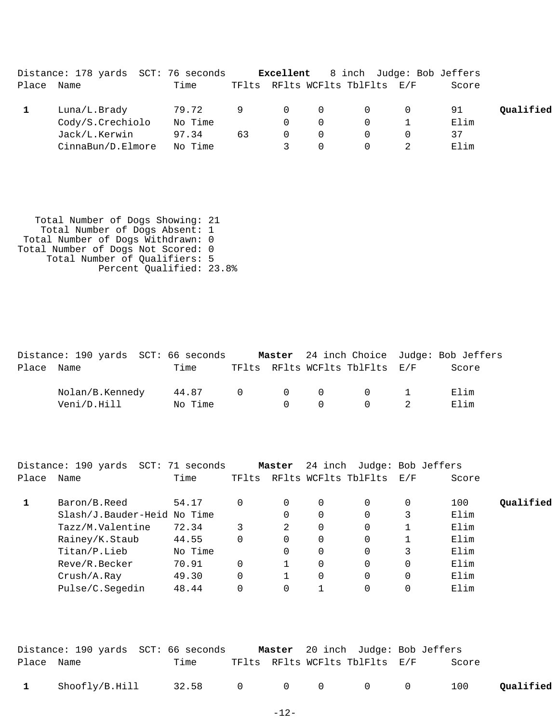|       | Distance: 178 yards SCT: 76 seconds |         |    | Excellent      |          |                                |          | 8 inch Judge: Bob Jeffers |           |
|-------|-------------------------------------|---------|----|----------------|----------|--------------------------------|----------|---------------------------|-----------|
| Place | Name                                | Time    |    |                |          | TFlts RFlts WCFlts TblFlts E/F |          | Score                     |           |
|       | Luna/L.Brady                        | 79.72   | 9  | $\overline{0}$ | $\Omega$ | $\Omega$                       | $\Omega$ | 91                        | Qualified |
|       | Cody/S.Crechiolo                    | No Time |    |                | $\Omega$ |                                |          | Elim                      |           |
|       | Jack/L.Kerwin                       | 97.34   | 63 | $\Omega$       | $\Omega$ |                                | 0        | 37                        |           |
|       | CinnaBun/D.Elmore                   | No Time |    |                |          |                                |          | Elim                      |           |

| Total Number of Dogs Showing: 21   |  |
|------------------------------------|--|
| Total Number of Dogs Absent: 1     |  |
| Total Number of Dogs Withdrawn: 0  |  |
| Total Number of Dogs Not Scored: 0 |  |
| Total Number of Qualifiers: 5      |  |
| Percent Oualified: 23.8%           |  |

|            | Distance: 190 yards SCT: 66 seconds |         |                |        |        |                                             | <b>Master</b> 24 inch Choice Judge: Bob Jeffers |
|------------|-------------------------------------|---------|----------------|--------|--------|---------------------------------------------|-------------------------------------------------|
| Place Name |                                     | Time    |                |        |        | TFlts RFlts WCFlts TblFlts E/F              | Score                                           |
|            | Nolan/B.Kennedy                     | 44.87   | $\overline{0}$ |        |        | $\begin{matrix} 0 & 0 & 0 & 1 \end{matrix}$ | Flim                                            |
|            | Veni/D.Hill                         | No Time |                | $\cap$ | $\cap$ | $\begin{array}{ccc} 0 & 2 \end{array}$      | Elim                                            |

|       | Distance: 190 yards SCT: 71 seconds |         |       | Master | 24 inch  |                      | Judge: Bob Jeffers |       |           |
|-------|-------------------------------------|---------|-------|--------|----------|----------------------|--------------------|-------|-----------|
| Place | Name                                | Time    | TFlts |        |          | RFlts WCFlts TblFlts | $\rm E$ / $\rm F$  | Score |           |
|       | Baron/B.Reed                        | 54.17   | 0     | 0      | 0        |                      | 0                  | 100   | Oualified |
|       | Slash/J.Bauder-Heid No Time         |         |       | 0      | 0        |                      |                    | Elim  |           |
|       | Tazz/M.Valentine                    | 72.34   | 3     | 2      | $\Omega$ | 0                    |                    | Elim  |           |
|       | Rainey/K.Staub                      | 44.55   | 0     | 0      | $\Omega$ |                      |                    | Elim  |           |
|       | Titan/P.Lieb                        | No Time |       | 0      | $\Omega$ |                      |                    | Elim  |           |
|       | Reve/R.Becker                       | 70.91   | 0     |        | $\Omega$ | $\Omega$             | $\Omega$           | Elim  |           |
|       | Crush/A.Ray                         | 49.30   | 0     |        | $\Omega$ |                      | $\Omega$           | Elim  |           |
|       | Pulse/C.Segedin                     | 48.44   | 0     | 0      |          |                      | 0                  | Elim  |           |

|              | Distance: 190 yards SCT: 66 seconds |                 |  | <b>Master</b> 20 inch Judge: Bob Jeffers |       |           |
|--------------|-------------------------------------|-----------------|--|------------------------------------------|-------|-----------|
| Place Name   |                                     | Time            |  | TFlts RFlts WCFlts TblFlts E/F           | Score |           |
| $\mathbf{1}$ | Shoofly/B.Hill                      | 32.58 0 0 0 0 0 |  |                                          | 100   | Qualified |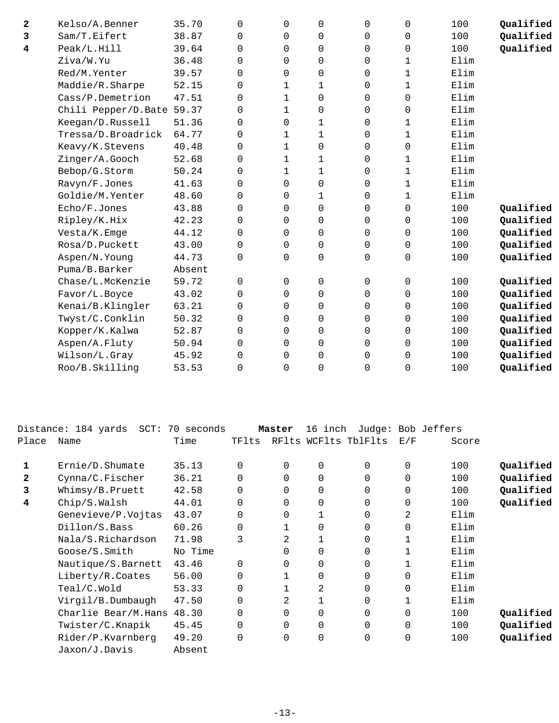| 2 | Kelso/A.Benner            | 35.70  | 0           | 0            | 0                   | 0           | 0                   | 100  | Qualified |
|---|---------------------------|--------|-------------|--------------|---------------------|-------------|---------------------|------|-----------|
| 3 | Sam/T.Eifert              | 38.87  | 0           | $\Omega$     | $\mathbf 0$         | 0           | $\mathbf 0$         | 100  | Qualified |
| 4 | Peak/L.Hill               | 39.64  | $\Omega$    | $\Omega$     | $\mathbf 0$         | 0           | $\mathbf 0$         | 100  | Qualified |
|   | Ziva/W.Yu                 | 36.48  | $\Omega$    | $\Omega$     | $\mathbf 0$         | 0           | $\mathbf 1$         | Elim |           |
|   | Red/M.Yenter              | 39.57  | $\Omega$    | $\Omega$     | $\mathbf 0$         | 0           | $\mathbf 1$         | Elim |           |
|   | Maddie/R.Sharpe           | 52.15  | 0           | $\mathbf 1$  | 1                   | 0           | $\mathbf 1$         | Elim |           |
|   | Cass/P.Demetrion          | 47.51  | $\Omega$    | $\mathbf{1}$ | 0                   | 0           | $\mathbf 0$         | Elim |           |
|   | Chili Pepper/D.Bate 59.37 |        | 0           | $\mathbf 1$  | $\mathsf{O}\xspace$ | 0           | $\mathsf{O}\xspace$ | Elim |           |
|   | Keegan/D.Russell          | 51.36  | 0           | $\Omega$     | 1                   | 0           | 1                   | Elim |           |
|   | Tressa/D.Broadrick        | 64.77  | 0           | 1            | 1                   | 0           | 1                   | Elim |           |
|   | Keavy/K.Stevens           | 40.48  | 0           | $\mathbf{1}$ | $\mathbf 0$         | 0           | 0                   | Elim |           |
|   | Zinger/A.Gooch            | 52.68  | $\Omega$    | 1            | 1                   | 0           | 1                   | Elim |           |
|   | Bebop/G.Storm             | 50.24  | $\Omega$    | $\mathbf{1}$ | $\mathbf{1}$        | 0           | $\mathbf{1}$        | Elim |           |
|   | Ravyn/F.Jones             | 41.63  | $\Omega$    | $\Omega$     | 0                   | 0           | 1                   | Elim |           |
|   | Goldie/M.Yenter           | 48.60  | 0           | 0            | 1                   | 0           | $\mathbf 1$         | Elim |           |
|   | Echo/F.Jones              | 43.88  | 0           | 0            | $\mathsf{O}\xspace$ | 0           | $\mathbf 0$         | 100  | Qualified |
|   | Ripley/K.Hix              | 42.23  | 0           | 0            | $\mathsf{O}\xspace$ | 0           | $\mathsf{O}\xspace$ | 100  | Qualified |
|   | Vesta/K.Emge              | 44.12  | $\Omega$    | $\Omega$     | $\mathbf 0$         | $\Omega$    | 0                   | 100  | Qualified |
|   | Rosa/D.Puckett            | 43.00  | 0           | 0            | 0                   | $\mathbf 0$ | 0                   | 100  | Qualified |
|   | Aspen/N.Young             | 44.73  | $\Omega$    | $\Omega$     | $\mathbf 0$         | 0           | 0                   | 100  | Qualified |
|   | Puma/B.Barker             | Absent |             |              |                     |             |                     |      |           |
|   | Chase/L.McKenzie          | 59.72  | $\Omega$    | 0            | 0                   | 0           | 0                   | 100  | Qualified |
|   | Favor/L.Boyce             | 43.02  | $\Omega$    | $\Omega$     | $\Omega$            | 0           | $\mathbf 0$         | 100  | Qualified |
|   | Kenai/B.Klingler          | 63.21  | $\Omega$    | 0            | $\mathbf 0$         | 0           | $\mathbf 0$         | 100  | Qualified |
|   | Twyst/C.Conklin           | 50.32  | $\mathbf 0$ | $\Omega$     | $\mathsf{O}\xspace$ | 0           | 0                   | 100  | Qualified |
|   | Kopper/K.Kalwa            | 52.87  | $\mathbf 0$ | 0            | $\mathsf{O}\xspace$ | 0           | $\mathsf{O}\xspace$ | 100  | Qualified |
|   | Aspen/A.Fluty             | 50.94  | $\mathbf 0$ | 0            | $\mathbf 0$         | $\Omega$    | $\mathbf 0$         | 100  | Qualified |
|   | Wilson/L.Gray             | 45.92  | $\Omega$    | 0            | 0                   | 0           | 0                   | 100  | Qualified |
|   | Roo/B.Skilling            | 53.53  | $\Omega$    | 0            | $\mathbf 0$         | 0           | 0                   | 100  | Qualified |
|   |                           |        |             |              |                     |             |                     |      |           |

|              | Distance: 184 yards<br>$SCT$ : | 70 seconds |          | Master         | 16 inch  |                      |             | Judge: Bob Jeffers |           |
|--------------|--------------------------------|------------|----------|----------------|----------|----------------------|-------------|--------------------|-----------|
| Place        | Name                           | Time       | TFlts    |                |          | RFlts WCFlts TblFlts | E/F         | Score              |           |
|              | Ernie/D.Shumate                | 35.13      | 0        | $\Omega$       | 0        | $\Omega$             | $\mathbf 0$ | 100                | Qualified |
| $\mathbf{2}$ | Cynna/C.Fischer                | 36.21      | 0        | $\Omega$       | $\Omega$ | 0                    | $\Omega$    | 100                | Qualified |
| 3            | Whimsy/B.Pruett                | 42.58      | 0        | $\Omega$       | 0        | 0                    | $\Omega$    | 100                | Qualified |
| 4            | Chip/S.Walsh                   | 44.01      | $\Omega$ | $\Omega$       | 0        | 0                    | $\Omega$    | 100                | Qualified |
|              | Genevieve/P.Vojtas             | 43.07      | 0        | 0              |          | 0                    | 2           | Elim               |           |
|              | Dillon/S.Bass                  | 60.26      | 0        |                | $\Omega$ | 0                    | $\Omega$    | Elim               |           |
|              | Nala/S.Richardson              | 71.98      | 3        | 2              |          | $\Omega$             |             | Elim               |           |
|              | Goose/S.Smith                  | No Time    |          | 0              | $\Omega$ | $\mathbf 0$          | 1           | Elim               |           |
|              | Nautique/S.Barnett             | 43.46      | $\Omega$ | $\Omega$       | 0        | 0                    |             | Elim               |           |
|              | Liberty/R.Coates               | 56.00      | 0        |                | 0        | 0                    | 0           | Elim               |           |
|              | Teal/C.Wold                    | 53.33      | 0        |                | 2        | $\Omega$             | 0           | Elim               |           |
|              | Virgil/B.Dumbaugh              | 47.50      | 0        | 2              |          | $\Omega$             |             | Elim               |           |
|              | Charlie Bear/M.Hans            | 48.30      | 0        | $\Omega$       | $\Omega$ | $\mathbf 0$          | 0           | 100                | Qualified |
|              | Twister/C.Knapik               | 45.45      | 0        | $\Omega$       | $\Omega$ | $\mathbf 0$          | $\Omega$    | 100                | Qualified |
|              | Rider/P.Kvarnberg              | 49.20      | $\Omega$ | $\overline{0}$ | 0        | 0                    | 0           | 100                | Qualified |
|              | Jaxon/J.Davis                  | Absent     |          |                |          |                      |             |                    |           |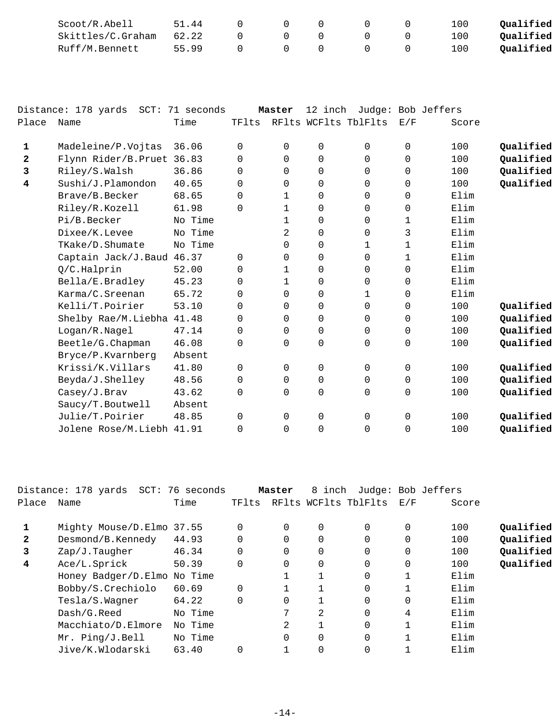| Scoot/R.Abell     | 51.44 |  |  | 100   | Qualified |
|-------------------|-------|--|--|-------|-----------|
| Skittles/C.Graham | 62.22 |  |  | L O O | Oualified |
| Ruff/M.Bennett    | 55.99 |  |  | 100 L | Oualified |

|              | Distance: 178 yards SCT: 71 seconds |         |          | Master       | 12 inch     |                      |             | Judge: Bob Jeffers |           |
|--------------|-------------------------------------|---------|----------|--------------|-------------|----------------------|-------------|--------------------|-----------|
| Place        | Name                                | Time    | TFlts    |              |             | RFlts WCFlts TblFlts | E/F         | Score              |           |
| $\mathbf{1}$ | Madeleine/P.Vojtas                  | 36.06   | $\Omega$ | 0            | 0           | 0                    | 0           | 100                | Qualified |
| $\mathbf{2}$ | Flynn Rider/B.Pruet 36.83           |         | 0        | $\Omega$     | $\mathbf 0$ | 0                    | 0           | 100                | Qualified |
| 3            | Riley/S.Walsh                       | 36.86   | $\Omega$ | $\Omega$     | $\mathbf 0$ | $\Omega$             | 0           | 100                | Qualified |
| 4            | Sushi/J.Plamondon                   | 40.65   | 0        | 0            | $\mathbf 0$ | 0                    | 0           | 100                | Qualified |
|              | Brave/B.Becker                      | 68.65   | $\Omega$ | $\mathbf 1$  | $\mathbf 0$ | $\Omega$             | $\mathbf 0$ | Elim               |           |
|              | Riley/R.Kozell                      | 61.98   | $\Omega$ | 1            | $\mathbf 0$ | 0                    | 0           | Elim               |           |
|              | Pi/B.Becker                         | No Time |          | 1            | $\mathbf 0$ | $\Omega$             | 1           | Elim               |           |
|              | Dixee/K.Levee                       | No Time |          | 2            | $\mathbf 0$ | $\Omega$             | 3           | Elim               |           |
|              | TKake/D.Shumate                     | No Time |          | 0            | $\mathbf 0$ | 1                    | 1           | Elim               |           |
|              | Captain Jack/J.Baud 46.37           |         | 0        | 0            | $\mathbf 0$ | 0                    | 1           | Elim               |           |
|              | Q/C.Halprin                         | 52.00   | $\Omega$ | $\mathbf{1}$ | $\mathbf 0$ | $\Omega$             | $\Omega$    | Elim               |           |
|              | Bella/E.Bradley                     | 45.23   | 0        | 1            | $\mathbf 0$ | $\Omega$             | 0           | Elim               |           |
|              | Karma/C.Sreenan                     | 65.72   | $\Omega$ | 0            | 0           | $\mathbf{1}$         | 0           | Elim               |           |
|              | Kelli/T.Poirier                     | 53.10   | 0        | 0            | $\mathbf 0$ | 0                    | 0           | 100                | Qualified |
|              | Shelby Rae/M.Liebha 41.48           |         | 0        | $\Omega$     | $\mathbf 0$ | $\Omega$             | $\Omega$    | 100                | Qualified |
|              | Logan/R.Nagel                       | 47.14   | $\Omega$ | $\Omega$     | $\mathbf 0$ | $\Omega$             | $\Omega$    | 100                | Qualified |
|              | Beetle/G.Chapman                    | 46.08   | 0        | 0            | 0           | 0                    | $\mathbf 0$ | 100                | Qualified |
|              | Bryce/P.Kvarnberg                   | Absent  |          |              |             |                      |             |                    |           |
|              | Krissi/K.Villars                    | 41.80   | $\Omega$ | $\Omega$     | $\mathbf 0$ | $\Omega$             | $\mathbf 0$ | 100                | Qualified |
|              | Beyda/J.Shelley                     | 48.56   | 0        | 0            | $\mathbf 0$ | 0                    | $\mathbf 0$ | 100                | Qualified |
|              | Casey/J.Brav                        | 43.62   | $\Omega$ | $\Omega$     | 0           | 0                    | $\mathbf 0$ | 100                | Qualified |
|              | Saucy/T.Boutwell                    | Absent  |          |              |             |                      |             |                    |           |
|              | Julie/T.Poirier                     | 48.85   | $\Omega$ | 0            | 0           | $\Omega$             | $\mathbf 0$ | 100                | Qualified |
|              | Jolene Rose/M.Liebh 41.91           |         | $\Omega$ | $\Omega$     | $\mathbf 0$ | $\Omega$             | $\mathbf 0$ | 100                | Qualified |
|              |                                     |         |          |              |             |                      |             |                    |           |

|              | Distance: 178 yards SCT: 76 seconds |         |          | Master   | 8 inch   |                      | Judge: Bob Jeffers |       |           |
|--------------|-------------------------------------|---------|----------|----------|----------|----------------------|--------------------|-------|-----------|
| Place        | Name                                | Time    | TFlts    |          |          | RFlts WCFlts TblFlts | E/F                | Score |           |
|              | Mighty Mouse/D.Elmo 37.55           |         | 0        | $\Omega$ | 0        | $\Omega$             | 0                  | 100   | Qualified |
| $\mathbf{2}$ | Desmond/B.Kennedy                   | 44.93   | $\Omega$ | $\Omega$ | 0        | $\Omega$             | $\Omega$           | 100   | Qualified |
| 3            | $Zap/J$ . Taugher                   | 46.34   | $\Omega$ | $\Omega$ | 0        | $\Omega$             | 0                  | 100   | Qualified |
| 4            | Ace/L.Sprick                        | 50.39   | $\Omega$ | $\Omega$ | $\Omega$ | $\Omega$             | 0                  | 100   | Qualified |
|              | Honey Badger/D.Elmo No Time         |         |          |          |          | $\Omega$             |                    | Elim  |           |
|              | Bobby/S.Crechiolo                   | 60.69   | $\Omega$ |          |          | 0                    |                    | Elim  |           |
|              | Tesla/S.Wagner                      | 64.22   | $\Omega$ | $\Omega$ |          | $\Omega$             | $\Omega$           | Elim  |           |
|              | Dash/G.Reed                         | No Time |          | 7        | 2        | $\Omega$             | 4                  | Elim  |           |
|              | Macchiato/D.Elmore                  | No Time |          | 2        |          | 0                    |                    | Elim  |           |
|              | Mr. Ping/J.Bell                     | No Time |          | $\Omega$ | 0        | $\Omega$             |                    | Elim  |           |
|              | Jive/K.Wlodarski                    | 63.40   |          |          | 0        | $\Omega$             |                    | Elim  |           |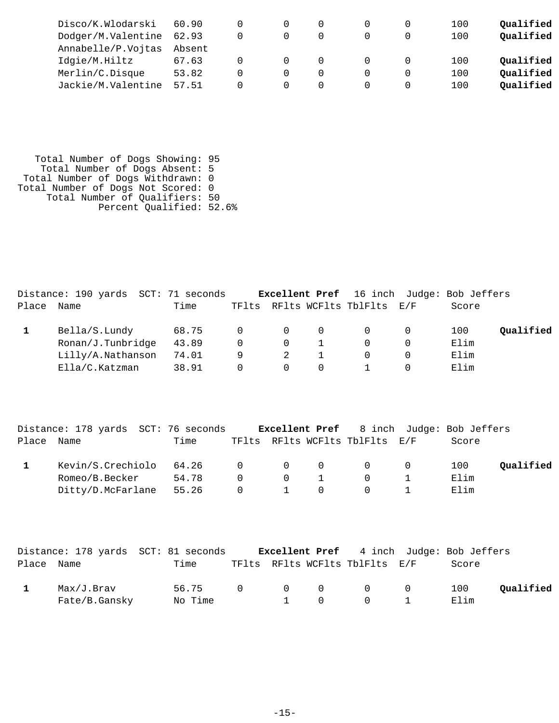| Disco/K.Wlodarski        | 60.90  |                  |  | 100 | Oualified |
|--------------------------|--------|------------------|--|-----|-----------|
| Dodger/M.Valentine 62.93 |        |                  |  | 100 | Qualified |
| Annabelle/P.Vojtas       | Absent |                  |  |     |           |
| Idgie/M.Hiltz            | 67.63  | $\left( \right)$ |  | 100 | Qualified |
| Merlin/C.Disque          | 53.82  |                  |  | 100 | Qualified |
| Jackie/M.Valentine       | 57.51  |                  |  | 100 | Qualified |

 Total Number of Dogs Showing: 95 Total Number of Dogs Absent: 5 Total Number of Dogs Withdrawn: 0 Total Number of Dogs Not Scored: 0 Total Number of Qualifiers: 50 Percent Qualified: 52.6%

|            | Distance: 190 yards SCT: 71 seconds |       |          |                |          | <b>Excellent Pref</b> 16 inch Judge: Bob Jeffers |       |           |
|------------|-------------------------------------|-------|----------|----------------|----------|--------------------------------------------------|-------|-----------|
| Place Name |                                     | Time  |          |                |          | TFlts RFlts WCFlts TblFlts E/F                   | Score |           |
|            | Bella/S.Lundy                       | 68.75 | $\Omega$ | $\overline{0}$ | $\Omega$ |                                                  | 100   | Qualified |
|            | Ronan/J.Tunbridge                   | 43.89 | $\Omega$ | $\Omega$       |          |                                                  | Elim  |           |
|            | Lilly/A.Nathanson                   | 74.01 | 9        | 2              |          |                                                  | Elim  |           |
|            | Ella/C.Katzman                      | 38.91 | 0        | $\Omega$       | $\Omega$ |                                                  | Elim  |           |

|       | Distance: 178 yards SCT: 76 seconds |         |                |                                                  |          | <b>Excellent Pref</b> 8 inch Judge: Bob Jeffers |       |           |
|-------|-------------------------------------|---------|----------------|--------------------------------------------------|----------|-------------------------------------------------|-------|-----------|
| Place | Name                                | Time    |                |                                                  |          | TFlts RFlts WCFlts TblFlts E/F                  | Score |           |
|       | Kevin/S.Crechiolo                   | 64.26 0 |                | $\begin{array}{cccccccc}\n0 & & & & \end{array}$ | $\Omega$ | $\Omega$ 0                                      | 100   | Oualified |
|       | Romeo/B.Becker                      | 54.78   | $\cap$         | $\Omega$                                         |          |                                                 | Elim  |           |
|       | Ditty/D.McFarlane                   | 55.26   | $\overline{0}$ | $\mathbf{1}$                                     | $\Omega$ |                                                 | Elim  |           |

|            |                             | Distance: 178 yards SCT: 81 seconds |  |              |                                            | <b>Excellent Pref</b> 4 inch Judge: Bob Jeffers |           |
|------------|-----------------------------|-------------------------------------|--|--------------|--------------------------------------------|-------------------------------------------------|-----------|
| Place Name |                             | Time                                |  |              | TFlts RFlts WCFlts TblFlts E/F             | Score                                           |           |
|            | Max/J.Brav<br>Fate/B.Gansky | 56.75 0 0 0 0 0<br>No Time          |  | $1 \qquad 0$ | $\begin{array}{ccc} & & 0 & & \end{array}$ | 100<br>Elim                                     | Oualified |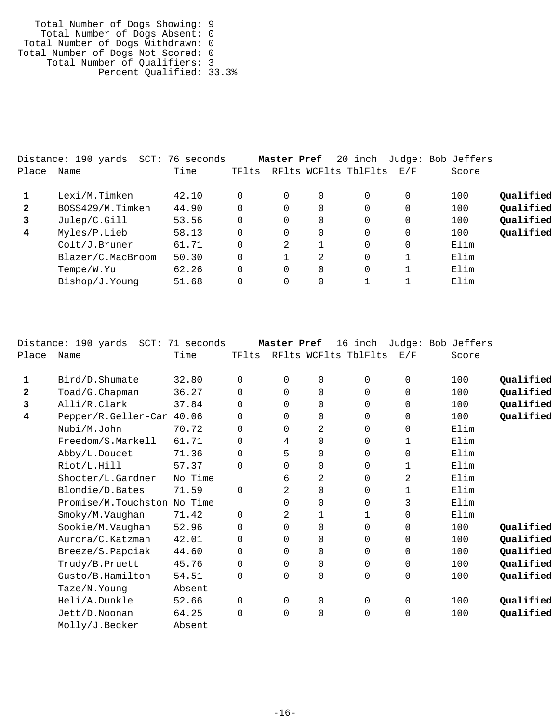Total Number of Dogs Showing: 9 Total Number of Dogs Absent: 0 Total Number of Dogs Withdrawn: 0 Total Number of Dogs Not Scored: 0 Total Number of Qualifiers: 3 Percent Qualified: 33.3%

|              | Distance: 190 yards<br>SCT: | 76 seconds |          | Master Pref |          | 20 inch              |     | Judge: Bob Jeffers |           |
|--------------|-----------------------------|------------|----------|-------------|----------|----------------------|-----|--------------------|-----------|
| Place        | Name                        | Time       | TFlts    |             |          | RFlts WCFlts TblFlts | E/F | Score              |           |
|              | Lexi/M.Timken               | 42.10      | 0        |             | 0        | $\Omega$             |     | 100                | Qualified |
| $\mathbf{2}$ | BOSS429/M.Timken            | 44.90      | 0        | 0           | $\Omega$ | $\Omega$             | 0   | 100                | Qualified |
| 3            | Julep/C.Gill                | 53.56      | $\Omega$ | 0           | 0        | $\Omega$             |     | 100                | Qualified |
| 4            | Myles/P.Lieb                | 58.13      | $\Omega$ | 0           | 0        | $\Omega$             |     | 100                | Qualified |
|              | Colt/J.Bruner               | 61.71      | 0        | 2           |          | $\Omega$             | 0   | Elim               |           |
|              | Blazer/C.MacBroom           | 50.30      | $\Omega$ |             | 2        | $\Omega$             |     | Elim               |           |
|              | Tempe/W.Yu                  | 62.26      | 0        | $\Omega$    | $\Omega$ | $\Omega$             |     | Elim               |           |
|              | Bishop/J.Younq              | 51.68      | $\Omega$ |             | $\Omega$ |                      |     | Elim               |           |
|              |                             |            |          |             |          |                      |     |                    |           |

|              | Distance: 190 yards<br>$SCT$ : | 71 seconds |          | Master Pref |             | 16 inch              |             | Judge: Bob Jeffers |           |
|--------------|--------------------------------|------------|----------|-------------|-------------|----------------------|-------------|--------------------|-----------|
| Place        | Name                           | Time       | TFlts    |             |             | RFlts WCFlts TblFlts | E/F         | Score              |           |
| 1            | Bird/D.Shumate                 | 32.80      | $\Omega$ | 0           | $\mathbf 0$ | $\Omega$             | $\mathbf 0$ | 100                | Qualified |
| $\mathbf{2}$ | Toad/G.Chapman                 | 36.27      | $\Omega$ | 0           | $\mathbf 0$ | $\Omega$             | $\mathbf 0$ | 100                | Qualified |
| 3            | Alli/R.Clark                   | 37.84      | $\Omega$ | $\Omega$    | $\mathbf 0$ | $\Omega$             | $\mathbf 0$ | 100                | Qualified |
| 4            | Pepper/R.Geller-Car            | 40.06      | $\Omega$ | $\Omega$    | $\mathbf 0$ | $\Omega$             | $\Omega$    | 100                | Qualified |
|              | Nubi/M.John                    | 70.72      | 0        | $\Omega$    | 2           | 0                    | $\mathbf 0$ | Elim               |           |
|              | Freedom/S.Markell              | 61.71      | $\Omega$ | 4           | 0           | $\Omega$             | 1           | Elim               |           |
|              | Abby/L.Doucet                  | 71.36      | 0        | 5           | 0           | 0                    | 0           | Elim               |           |
|              | Riot/L.Hill                    | 57.37      | $\Omega$ | 0           | $\mathbf 0$ | 0                    | 1           | Elim               |           |
|              | Shooter/L.Gardner              | No Time    |          | 6           | 2           | $\Omega$             | 2           | Elim               |           |
|              | Blondie/D.Bates                | 71.59      | $\Omega$ | 2           | $\mathbf 0$ | $\Omega$             | 1           | Elim               |           |
|              | Promise/M.Touchston            | No Time    |          | 0           | $\mathbf 0$ | $\Omega$             | 3           | Elim               |           |
|              | Smoky/M.Vaughan                | 71.42      | $\Omega$ | 2           | 1           |                      | 0           | Elim               |           |
|              | Sookie/M.Vaughan               | 52.96      | 0        | 0           | $\mathbf 0$ | 0                    | 0           | 100                | Qualified |
|              | Aurora/C.Katzman               | 42.01      | 0        | 0           | $\mathbf 0$ | 0                    | 0           | 100                | Qualified |
|              | Breeze/S.Papciak               | 44.60      | $\Omega$ | 0           | 0           | 0                    | 0           | 100                | Qualified |
|              | Trudy/B.Pruett                 | 45.76      | $\Omega$ | 0           | $\mathbf 0$ | $\Omega$             | 0           | 100                | Qualified |
|              | Gusto/B.Hamilton               | 54.51      | $\Omega$ | $\Omega$    | $\mathbf 0$ | 0                    | $\mathbf 0$ | 100                | Qualified |
|              | Taze/N.Young                   | Absent     |          |             |             |                      |             |                    |           |
|              | Heli/A.Dunkle                  | 52.66      | 0        | $\Omega$    | $\mathbf 0$ | $\Omega$             | $\mathbf 0$ | 100                | Qualified |
|              | Jett/D.Noonan                  | 64.25      | $\Omega$ | 0           | $\mathbf 0$ | 0                    | 0           | 100                | Qualified |
|              | Molly/J.Becker                 | Absent     |          |             |             |                      |             |                    |           |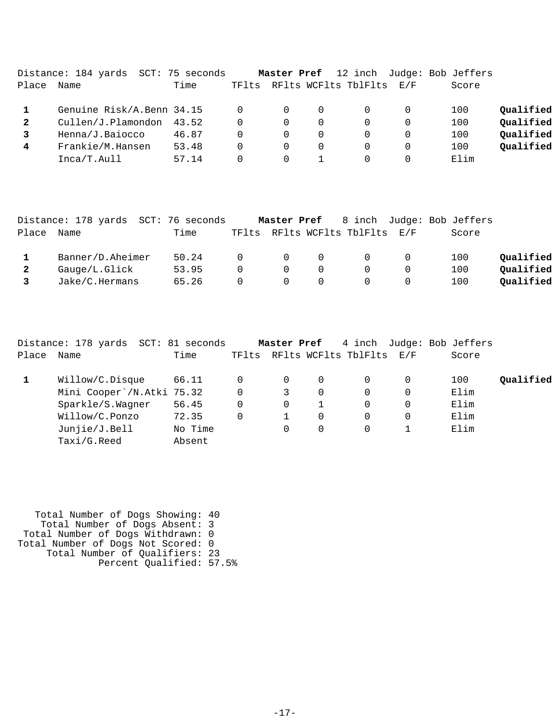|       | Distance: 184 yards       | SCT: 75 seconds |       | Master Pref |          |                      |          | 12 inch Judge: Bob Jeffers |           |
|-------|---------------------------|-----------------|-------|-------------|----------|----------------------|----------|----------------------------|-----------|
| Place | Name                      | Time            | TFlts |             |          | RFlts WCFlts TblFlts | E/F      | Score                      |           |
|       | Genuine Risk/A.Benn 34.15 |                 |       | 0           | $\Omega$ |                      | $\Omega$ | 100                        | Qualified |
| 2     | Cullen/J.Plamondon        | 43.52           |       | 0           | $\Omega$ |                      | $\Omega$ | 100                        | Qualified |
|       | Henna/J.Baiocco           | 46.87           |       | 0           | 0        |                      | $\Omega$ | 100                        | Qualified |
| 4     | Frankie/M.Hansen          | 53.48           |       | 0           | 0        |                      | $\Omega$ | 100                        | Qualified |
|       | Inca/T.Aull               | 57.14           |       | $\Omega$    |          |                      | $\Omega$ | Elim                       |           |

|       | Distance: 178 yards SCT: 76 seconds |       |          |                |          |                                |     | <b>Master Pref</b> 8 inch Judge: Bob Jeffers |           |
|-------|-------------------------------------|-------|----------|----------------|----------|--------------------------------|-----|----------------------------------------------|-----------|
| Place | Name                                | Time  |          |                |          | TFlts RFlts WCFlts TblFlts E/F |     | Score                                        |           |
|       | Banner/D.Aheimer                    | 50.24 | $\Omega$ | $\overline{0}$ | $\Omega$ | $\Omega$                       | - 0 | 100                                          | Qualified |
|       | Gauge/L.Glick                       | 53.95 | $\Omega$ | $\Omega$       | $\Omega$ | $\Omega$                       |     | 100                                          | Qualified |
|       | Jake/C.Hermans                      | 65.26 | $\Omega$ | $\overline{0}$ | $\Omega$ | $\Omega$                       |     | 100                                          | Oualified |

|       | Distance: 178 yards SCT: 81 seconds |         |                | Master Pref |          |                          |   | 4 inch Judge: Bob Jeffers |           |
|-------|-------------------------------------|---------|----------------|-------------|----------|--------------------------|---|---------------------------|-----------|
| Place | Name                                | Time    | TFlts          |             |          | RFlts WCFlts TblFlts E/F |   | Score                     |           |
|       | Willow/C.Disque                     | 66.11   | $\Omega$       | $\Omega$    | $\Omega$ |                          | 0 | 100                       | Oualified |
|       | Mini Cooper`/N.Atki 75.32           |         | $\overline{0}$ | 3           | $\Omega$ |                          | 0 | Elim                      |           |
|       | Sparkle/S.Wagner                    | 56.45   | $\Omega$       | $\Omega$    |          | 0                        | 0 | Elim                      |           |
|       | Willow/C.Ponzo                      | 72.35   | $\Omega$       |             | $\Omega$ |                          | 0 | Elim                      |           |
|       | Junjie/J.Bell                       | No Time |                | 0           | 0        |                          |   | Elim                      |           |
|       | Taxi/G.Reed                         | Absent  |                |             |          |                          |   |                           |           |

 Total Number of Dogs Showing: 40 Total Number of Dogs Absent: 3 Total Number of Dogs Withdrawn: 0 Total Number of Dogs Not Scored: 0 Total Number of Qualifiers: 23 Percent Qualified: 57.5%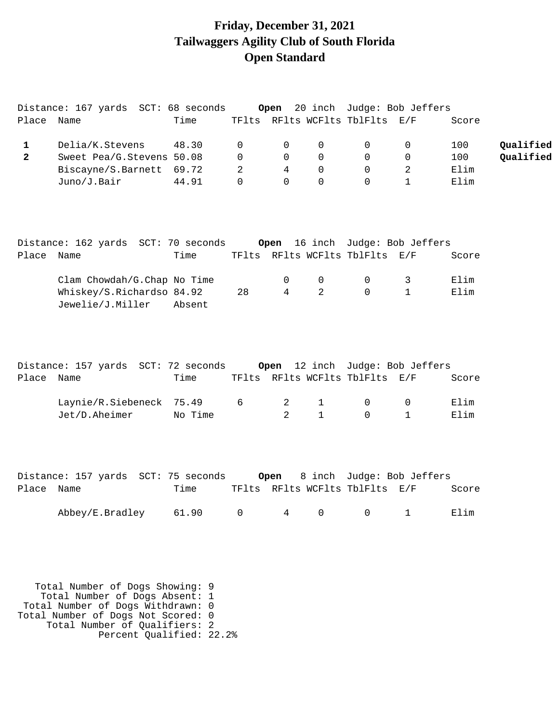## **Friday, December 31, 2021 Tailwaggers Agility Club of South Florida Open Standard**

|                | Distance: 167 yards SCT: 68 seconds                                 |         |                |                |              |                                | Open 20 inch Judge: Bob Jeffers |       |           |
|----------------|---------------------------------------------------------------------|---------|----------------|----------------|--------------|--------------------------------|---------------------------------|-------|-----------|
| Place Name     |                                                                     | Time    |                |                |              | TFlts RFlts WCFlts TblFlts E/F |                                 | Score |           |
| $\mathbf{1}$   | Delia/K.Stevens                                                     | 48.30   | $\mathbf 0$    | 0              | $\mathbf 0$  | 0                              | $\mathbf 0$                     | 100   | Qualified |
| $\overline{2}$ | Sweet Pea/G.Stevens 50.08                                           |         | $\overline{0}$ | $\overline{0}$ | $\Omega$     | $\mathbf{0}$                   | $\overline{0}$                  | 100   | Qualified |
|                | Biscayne/S.Barnett 69.72                                            |         | 2              | $\overline{4}$ | $\mathbf 0$  | 0                              | $\overline{2}$                  | Elim  |           |
|                | Juno/J.Bair                                                         | 44.91   | $\Omega$       | $\mathsf{O}$   | $\mathbf 0$  | $\mathbf 0$                    | $\mathbf{1}$                    | Elim  |           |
|                | Distance: 162 yards SCT: 70 seconds Open 16 inch Judge: Bob Jeffers |         |                |                |              |                                |                                 |       |           |
| Place Name     |                                                                     | Time    |                |                |              | TFlts RFlts WCFlts TblFlts E/F |                                 | Score |           |
|                | Clam Chowdah/G.Chap No Time                                         |         |                | 0              | 0            | 0                              | 3                               | Elim  |           |
|                | Whiskey/S.Richardso 84.92<br>Jewelie/J.Miller                       | Absent  | 28             | $\overline{4}$ | 2            | 0                              | $\mathbf{1}$                    | Elim  |           |
| Place Name     | Distance: 157 yards SCT: 72 seconds Open 12 inch Judge: Bob Jeffers | Time    |                |                |              | TFlts RFlts WCFlts TblFlts E/F |                                 | Score |           |
|                | Laynie/R.Siebeneck 75.49                                            |         | 6              | 2              | $\mathbf{1}$ | 0                              | $\overline{0}$                  | Elim  |           |
|                | Jet/D.Aheimer                                                       | No Time |                | 2              | $\mathbf{1}$ | $\Omega$                       | $\mathbf{1}$                    | Elim  |           |
|                |                                                                     |         |                |                |              |                                |                                 |       |           |
| Place Name     | Distance: 157 yards SCT: 75 seconds Open 8 inch Judge: Bob Jeffers  | Time    |                |                |              | TFlts RFlts WCFlts TblFlts E/F |                                 | Score |           |
|                | Abbey/E.Bradley $61.90$ 0 $4$ 0 0 1                                 |         |                |                |              |                                |                                 | Elim  |           |
|                |                                                                     |         |                |                |              |                                |                                 |       |           |
|                | Total Number of Dogs Showing: 9                                     |         |                |                |              |                                |                                 |       |           |

 Total Number of Dogs Absent: 1 Total Number of Dogs Withdrawn: 0 Total Number of Dogs Not Scored: 0 Total Number of Qualifiers: 2 Percent Qualified: 22.2%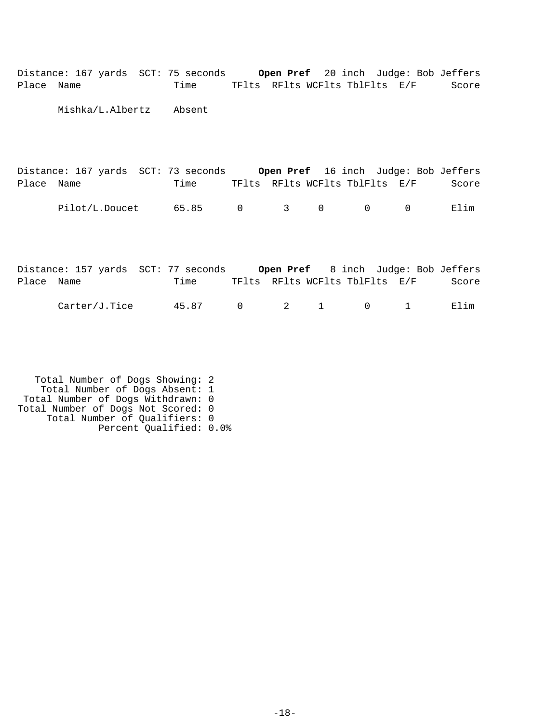| Place      | Name |  | Distance: 167 yards SCT: 75 seconds Open Pref 20 inch Judge: Bob Jeffers<br>Time TFlts RFlts WCFlts TblFlts E/F |             |             |             |                                |          | Score |
|------------|------|--|-----------------------------------------------------------------------------------------------------------------|-------------|-------------|-------------|--------------------------------|----------|-------|
|            |      |  | Mishka/L.Albertz Absent                                                                                         |             |             |             |                                |          |       |
|            |      |  |                                                                                                                 |             |             |             |                                |          |       |
| Place Name |      |  | Distance: 167 yards SCT: 73 seconds Open Pref 16 inch Judge: Bob Jeffers<br>Time                                |             |             |             | TFlts RFlts WCFlts TblFlts E/F |          | Score |
|            |      |  | Pilot/L.Doucet 65.85                                                                                            | $\mathbf 0$ | $3^{\circ}$ | $\mathbf 0$ | $\Omega$                       | $\Omega$ | Elim  |
|            |      |  |                                                                                                                 |             |             |             |                                |          |       |
| Place Name |      |  | Distance: 157 yards SCT: 77 seconds Open Pref 8 inch Judge: Bob Jeffers<br>Time                                 |             |             |             | TFlts RFlts WCFlts TblFlts E/F |          | Score |

| .Tice<br>Carter/c<br>. | $\cap$<br>4 E |  |  |  |  |  | ım<br>. P. J |
|------------------------|---------------|--|--|--|--|--|--------------|
|------------------------|---------------|--|--|--|--|--|--------------|

 Total Number of Dogs Showing: 2 Total Number of Dogs Absent: 1 Total Number of Dogs Withdrawn: 0 Total Number of Dogs Not Scored: 0 Total Number of Qualifiers: 0 Percent Qualified: 0.0%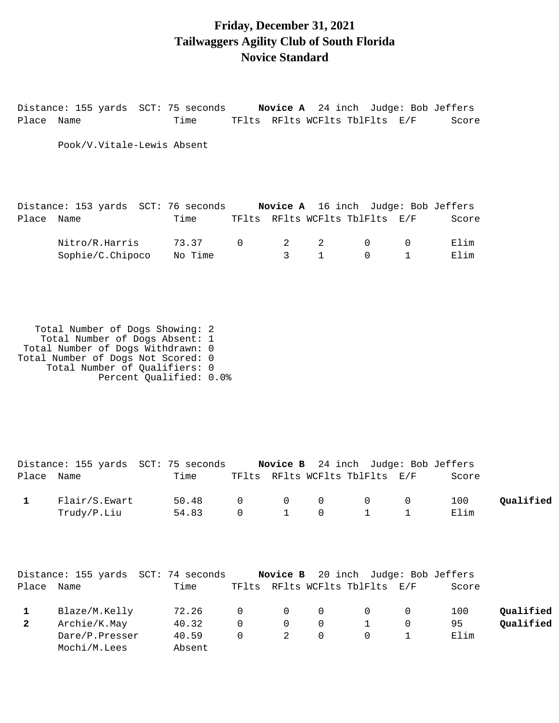### **Friday, December 31, 2021 Tailwaggers Agility Club of South Florida Novice Standard**

Distance: 155 yards SCT: 75 seconds **Novice A** 24 inch Judge: Bob Jeffers Place Name Time TFlts RFlts WCFlts TblFlts E/F Score Pook/V.Vitale-Lewis Absent Distance: 153 yards SCT: 76 seconds **Novice A** 16 inch Judge: Bob Jeffers Place Name Time TFlts RFlts WCFlts TblFlts E/F Score انة التوسيق التاريخ التاريخ التاريخ التاريخ التاريخ التاريخ التاريخ التاريخ التاريخ التاريخ التاريخ التاريخ ال<br>التاريخ التاريخ التاريخ التاريخ التاريخ التاريخ التاريخ التاريخ التاريخ التاريخ التاريخ التاريخ التاريخ التاري

| Nitro/R.Harris   | $\sim$ $\sim$ $\sim$ $\sim$ |  |  | -H. L<br>⊥ım<br>ЕI |
|------------------|-----------------------------|--|--|--------------------|
| Sophie/C.Chipoco | No Time                     |  |  | Lım                |

 Total Number of Dogs Showing: 2 Total Number of Dogs Absent: 1 Total Number of Dogs Withdrawn: 0 Total Number of Dogs Not Scored: 0 Total Number of Qualifiers: 0 Percent Qualified: 0.0%

|            |               | Distance: 155 yards SCT: 75 seconds |          |  | Novice B 24 inch Judge: Bob Jeffers |             |           |
|------------|---------------|-------------------------------------|----------|--|-------------------------------------|-------------|-----------|
| Place Name |               | Time                                |          |  | TFlts RFlts WCFlts TblFlts E/F      | Score       |           |
|            | Flair/S.Ewart | 50.48 0 0 0 0 0<br>54.83            | $\Omega$ |  |                                     | 100<br>Elim | Qualified |
|            | Trudy/P.Liu   |                                     |          |  | 1 0 1 1                             |             |           |

|              |                | Distance: 155 yards SCT: 74 seconds |          |                                     |          | Novice B 20 inch Judge: Bob Jeffers |          |       |           |
|--------------|----------------|-------------------------------------|----------|-------------------------------------|----------|-------------------------------------|----------|-------|-----------|
| Place Name   |                | Time                                |          |                                     |          | TFlts RFlts WCFlts TblFlts E/F      |          | Score |           |
|              | Blaze/M.Kelly  | 72.26                               |          | $\begin{matrix} 0 & 0 \end{matrix}$ | - 0      | $\cap$                              | $\Omega$ | 100   | Qualified |
| $\mathbf{2}$ | Archie/K.May   | 40.32                               | $\Omega$ | $\Omega$                            | 0        |                                     |          | 95    | Qualified |
|              | Dare/P.Presser | 40.59                               | $\Omega$ | $\overline{2}$                      | $\Omega$ |                                     |          | Elim  |           |
|              | Mochi/M.Lees   | Absent                              |          |                                     |          |                                     |          |       |           |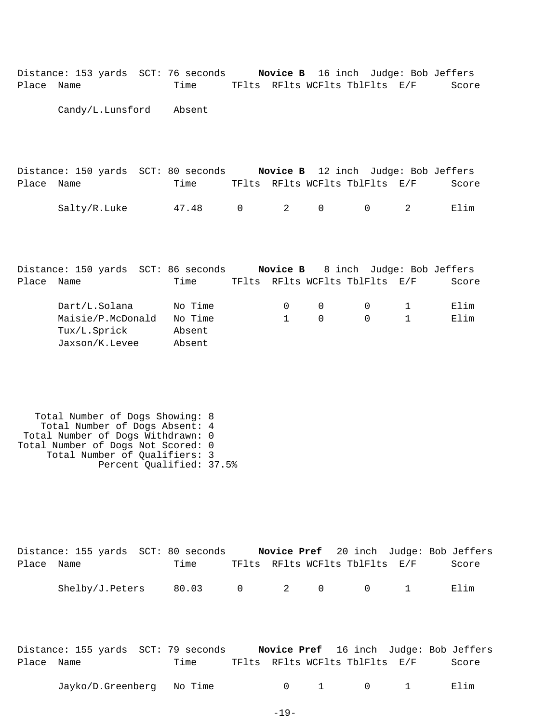| Place | Distance: 153 yards SCT: 76 seconds Novice B 16 inch Judge: Bob Jeffers<br>Name | Time              |             |                |                                |             | TFlts RFlts WCFlts TblFlts E/F | Score |
|-------|---------------------------------------------------------------------------------|-------------------|-------------|----------------|--------------------------------|-------------|--------------------------------|-------|
|       | Candy/L.Lunsford Absent                                                         |                   |             |                |                                |             |                                |       |
|       |                                                                                 |                   |             |                |                                |             |                                |       |
|       |                                                                                 |                   |             |                |                                |             |                                |       |
|       | Distance: 150 yards SCT: 80 seconds Novice B 12 inch Judge: Bob Jeffers         |                   |             |                |                                |             |                                |       |
| Place | Name                                                                            | Time              |             |                | TFlts RFlts WCFlts TblFlts E/F |             |                                | Score |
|       | Salty/R.Luke                                                                    | 47.48             | $\mathbf 0$ | $\overline{2}$ | $\Omega$                       | $\Omega$    | 2                              | Elim  |
|       |                                                                                 |                   |             |                |                                |             |                                |       |
|       |                                                                                 |                   |             |                |                                |             |                                |       |
|       | Distance: 150 yards SCT: 86 seconds Novice B 8 inch Judge: Bob Jeffers          |                   |             |                |                                |             |                                |       |
| Place | Name                                                                            | Time              |             |                | TFlts RFlts WCFlts TblFlts E/F |             |                                | Score |
|       | Dart/L.Solana                                                                   | No Time           |             | $\mathbf{0}$   | $\mathbf 0$                    | $\mathbf 0$ | 1                              | Elim  |
|       | Maisie/P.McDonald                                                               | No Time<br>Absent |             | $\mathbf{1}$   | $\Omega$                       | $\Omega$    | $\mathbf{1}$                   | Elim  |
|       | Tux/L.Sprick<br>Jaxson/K.Levee                                                  | Absent            |             |                |                                |             |                                |       |

| Total Number of Dogs Showing: 8    |  |
|------------------------------------|--|
| Total Number of Dogs Absent: 4     |  |
| Total Number of Dogs Withdrawn: 0  |  |
| Total Number of Dogs Not Scored: 0 |  |
| Total Number of Qualifiers: 3      |  |
| Percent Qualified: 37.5%           |  |

|            | Distance: 155 yards SCT: 80 seconds |       |  |                                         |  | Novice Pref 20 inch Judge: Bob Jeffers |
|------------|-------------------------------------|-------|--|-----------------------------------------|--|----------------------------------------|
| Place Name |                                     | Time  |  | TFlts RFlts WCFlts TblFlts E/F          |  | Score                                  |
|            |                                     |       |  |                                         |  |                                        |
|            | Shelby/J.Peters                     | 80.03 |  | $0 \qquad 2 \qquad 0 \qquad 0 \qquad 1$ |  | Elim                                   |

|            |  |  | Distance: 155 yards SCT: 79 seconds |                                |  |  |  | Novice Pref 16 inch Judge: Bob Jeffers |
|------------|--|--|-------------------------------------|--------------------------------|--|--|--|----------------------------------------|
| Place Name |  |  | Time                                | TFlts RFlts WCFlts TblFlts E/F |  |  |  | Score                                  |
|            |  |  |                                     |                                |  |  |  |                                        |

| Jayko/D.Greenberg | No Time |  |  | Elım |
|-------------------|---------|--|--|------|
|-------------------|---------|--|--|------|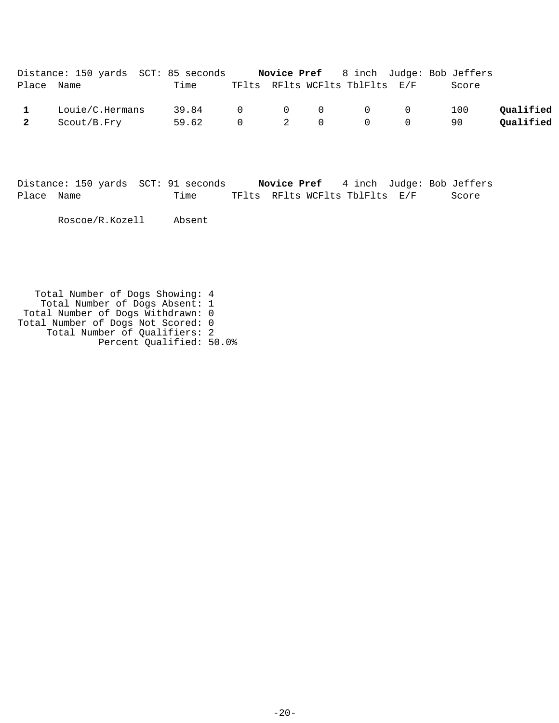|              | Distance: 150 yards SCT: 85 seconds |                 |  |                                | <b>Novice Pref</b> 8 inch Judge: Bob Jeffers |           |
|--------------|-------------------------------------|-----------------|--|--------------------------------|----------------------------------------------|-----------|
| Place Name   |                                     | Time            |  | TFlts RFlts WCFlts TblFlts E/F | Score                                        |           |
| $\mathbf{1}$ | Louie/C.Hermans                     | 39.84 0 0 0 0 0 |  |                                | 100                                          | Oualified |
| 2            | Scout/B.Fry                         | 59.62 0 2 0 0 0 |  |                                | 90                                           | Qualified |

|            | Distance: 150 yards SCT: 91 seconds | Novice Pref                    |  | 4 inch Judge: Bob Jeffers |
|------------|-------------------------------------|--------------------------------|--|---------------------------|
| Place Name | Time                                | TFlts RFlts WCFlts TblFlts E/F |  | Score                     |

Roscoe/R.Kozell Absent

 Total Number of Dogs Showing: 4 Total Number of Dogs Absent: 1 Total Number of Dogs Withdrawn: 0 Total Number of Dogs Not Scored: 0 Total Number of Qualifiers: 2 Percent Qualified: 50.0%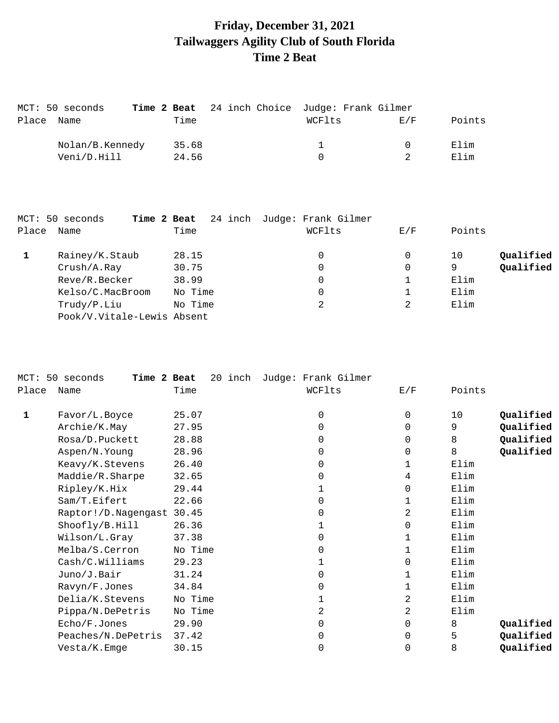# **Friday, December 31, 2021 Tailwaggers Agility Club of South Florida Time 2 Beat**

| MCT: 50 seconds |       |  | Time 2 Beat 24 inch Choice Judge: Frank Gilmer |        |        |
|-----------------|-------|--|------------------------------------------------|--------|--------|
| Place Name      | Time  |  | WCFlts                                         | E/F    | Points |
| Nolan/B.Kennedy | 35.68 |  |                                                | $\cap$ | Elim   |
| Veni/D.Hill     | 24.56 |  |                                                |        | Elim   |

|       | MCT: 50 seconds<br>Time 2 Beat |         | 24 inch Judge: Frank Gilmer |     |                 |
|-------|--------------------------------|---------|-----------------------------|-----|-----------------|
| Place | Name                           | Time    | WCFlts                      | E/F | Points          |
|       | Rainey/K.Staub                 | 28.15   | 0                           |     | Qualified<br>10 |
|       | Crush/A.Ray                    | 30.75   | 0                           |     | Qualified<br>9  |
|       | Reve/R.Becker                  | 38.99   |                             |     | Elim            |
|       | Kelso/C.MacBroom               | No Time | 0                           |     | Elim            |
|       | Trudy/P.Liu                    | No Time | 2                           | 2   | Elim            |
|       | Pook/V.Vitale-Lewis Absent     |         |                             |     |                 |

|       | MCT: 50 seconds<br>Time 2 Beat | 20 inch | Judge: Frank Gilmer |             |        |           |
|-------|--------------------------------|---------|---------------------|-------------|--------|-----------|
| Place | Name                           | Time    | WCFlts              | E/F         | Points |           |
| 1     | Favor/L.Boyce                  | 25.07   | $\Omega$            | 0           | 10     | Qualified |
|       | Archie/K.May                   | 27.95   | $\Omega$            | $\Omega$    | 9      | Qualified |
|       | Rosa/D.Puckett                 | 28.88   | 0                   | 0           | 8      | Qualified |
|       | Aspen/N.Young                  | 28.96   | $\Omega$            | 0           | 8      | Qualified |
|       | Keavy/K.Stevens                | 26.40   | 0                   | 1           | Elim   |           |
|       | Maddie/R.Sharpe                | 32.65   | $\Omega$            | 4           | Elim   |           |
|       | Ripley/K.Hix                   | 29.44   | 1                   | 0           | Elim   |           |
|       | Sam/T.Eifert                   | 22.66   | 0                   | 1           | Elim   |           |
|       | Raptor!/D.Nagengast            | 30.45   | $\Omega$            | 2           | Elim   |           |
|       | Shoofly/B.Hill                 | 26.36   |                     | 0           | Elim   |           |
|       | Wilson/L.Gray                  | 37.38   | 0                   | $\mathbf 1$ | Elim   |           |
|       | Melba/S.Cerron                 | No Time | $\Omega$            | $\mathbf 1$ | Elim   |           |
|       | Cash/C.Williams                | 29.23   | 1                   | $\Omega$    | Elim   |           |
|       | Juno/J.Bair                    | 31.24   | 0                   | 1           | Elim   |           |
|       | Ravyn/F.Jones                  | 34.84   | $\mathbf 0$         | 1           | Elim   |           |
|       | Delia/K.Stevens                | No Time | 1                   | 2           | Elim   |           |
|       | Pippa/N.DePetris               | No Time | 2                   | 2           | Elim   |           |
|       | Echo/F.Jones                   | 29.90   | 0                   | 0           | 8      | Qualified |
|       | Peaches/N.DePetris             | 37.42   | 0                   | $\mathbf 0$ | 5      | Qualified |
|       | Vesta/K.Emge                   | 30.15   | 0                   | 0           | 8      | Qualified |
|       |                                |         |                     |             |        |           |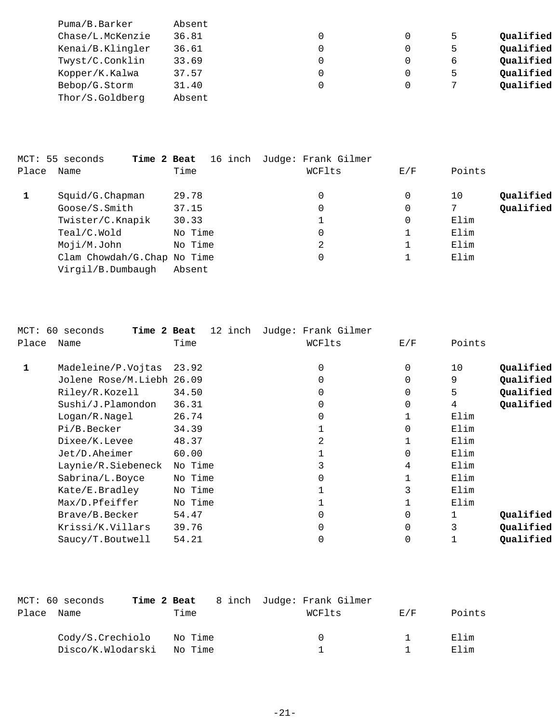| Puma/B.Barker    | Absent |   |   |   |           |
|------------------|--------|---|---|---|-----------|
| Chase/L.McKenzie | 36.81  | 0 | 0 | 5 | Qualified |
| Kenai/B.Klingler | 36.61  |   | 0 | 5 | Qualified |
| Twyst/C.Conklin  | 33.69  |   | 0 | 6 | Qualified |
| Kopper/K.Kalwa   | 37.57  |   | 0 | 5 | Qualified |
| Bebop/G.Storm    | 31.40  |   | 0 |   | Qualified |
| Thor/S.Goldberg  | Absent |   |   |   |           |

|       | MCT: 55 seconds<br>Time 2 Beat |         | 16 inch Judge: Frank Gilmer |     |                 |
|-------|--------------------------------|---------|-----------------------------|-----|-----------------|
| Place | Name                           | Time    | WCFlts                      | E/F | Points          |
|       | Squid/G.Chapman                | 29.78   | 0                           | 0   | Qualified<br>10 |
|       | Google/S.Smith                 | 37.15   | 0                           | 0   | Qualified       |
|       | Twister/C.Knapik               | 30.33   |                             | 0   | Elim            |
|       | Teal/C.Wold                    | No Time | υ                           |     | Elim            |
|       | Moji/M.John                    | No Time | 2                           |     | Elim            |
|       | Clam Chowdah/G.Chap No Time    |         | υ                           |     | Elim            |
|       | Virgil/B.Dumbaugh              | Absent  |                             |     |                 |

|       | MCT: 60 seconds<br>Time 2 Beat | 12 inch | Judge: Frank Gilmer |             |        |           |
|-------|--------------------------------|---------|---------------------|-------------|--------|-----------|
| Place | Name                           | Time    | WCFlts              | E/F         | Points |           |
| 1     | Madeleine/P.Vojtas             | 23.92   | $\Omega$            | $\mathbf 0$ | 10     | Qualified |
|       | Jolene Rose/M.Liebh 26.09      |         | 0                   | $\Omega$    | 9      | Qualified |
|       | Riley/R.Kozell                 | 34.50   | 0                   | 0           | 5      | Qualified |
|       | Sushi/J.Plamondon              | 36.31   | 0                   | 0           | 4      | Qualified |
|       | Logan/R.Nagel                  | 26.74   | 0                   | 1           | Elim   |           |
|       | Pi/B.Becker                    | 34.39   |                     | $\Omega$    | Elim   |           |
|       | Dixee/K.Levee                  | 48.37   | 2                   |             | Elim   |           |
|       | Jet/D.Aheimer                  | 60.00   |                     | $\Omega$    | Elim   |           |
|       | Laynie/R.Siebeneck             | No Time |                     | 4           | Elim   |           |
|       | Sabrina/L.Boyce                | No Time | 0                   |             | Elim   |           |
|       | Kate/E.Bradley                 | No Time |                     | 3           | Elim   |           |
|       | Max/D.Pfeiffer                 | No Time |                     |             | Elim   |           |
|       | Brave/B.Becker                 | 54.47   | 0                   | $\Omega$    |        | Qualified |
|       | Krissi/K.Villars               | 39.76   | 0                   | $\Omega$    |        | Qualified |
|       | Saucy/T.Boutwell               | 54.21   | 0                   | 0           |        | Qualified |
|       |                                |         |                     |             |        |           |

|       | MCT: 60 seconds   |         | <b>Time 2 Beat</b> 8 inch Judge: Frank Gilmer |     |        |
|-------|-------------------|---------|-----------------------------------------------|-----|--------|
| Place | Name              | Time    | WCFlts                                        | F/K | Points |
|       | Cody/S.Crechiolo  | No Time | $\left( \right)$                              |     | Elim   |
|       | Disco/K.Wlodarski | No Time |                                               |     | Elim   |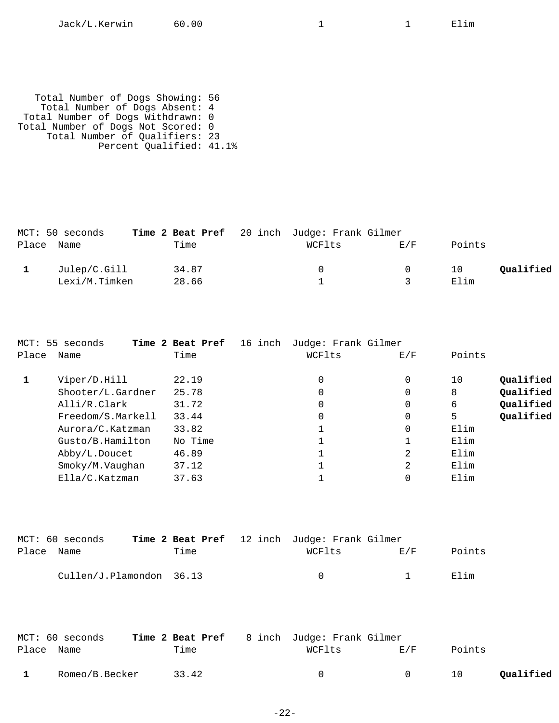Total Number of Dogs Showing: 56 Total Number of Dogs Absent: 4 Total Number of Dogs Withdrawn: 0 Total Number of Dogs Not Scored: 0 Total Number of Qualifiers: 23 Percent Qualified: 41.1%

| MCT: 50 seconds |       | Time 2 Beat Pref 20 inch Judge: Frank Gilmer |          |        |           |
|-----------------|-------|----------------------------------------------|----------|--------|-----------|
| Place Name      | Time  | WCFlts                                       | E/F      | Points |           |
| Julep/C.Gill    | 34.87 |                                              | $\Omega$ | 10     | Qualified |
| Lexi/M.Timken   | 28.66 |                                              |          | Elim   |           |

|       | MCT: 55 seconds   | Time 2 Beat Pref | 16 inch<br>Judge: Frank Gilmer |          |        |           |
|-------|-------------------|------------------|--------------------------------|----------|--------|-----------|
| Place | Name              | Time             | WCFlts                         | E/F      | Points |           |
|       | Viper/D.Hill      | 22.19            | 0                              | 0        | 10     | Qualified |
|       | Shooter/L.Gardner | 25.78            | 0                              | 0        | 8      | Qualified |
|       | Alli/R.Clark      | 31.72            | 0                              | $\Omega$ | 6      | Qualified |
|       | Freedom/S.Markell | 33.44            | 0                              | 0        | 5      | Qualified |
|       | Aurora/C.Katzman  | 33.82            |                                | 0        | Elim   |           |
|       | Gusto/B.Hamilton  | No Time          |                                |          | Elim   |           |
|       | Abby/L.Doucet     | 46.89            |                                | 2        | Elim   |           |
|       | Smoky/M.Vaughan   | 37.12            |                                | 2        | Elim   |           |
|       | Ella/C.Katzman    | 37.63            |                                |          | Elim   |           |

|            | MCT: 60 seconds          |      | <b>Time 2 Beat Pref</b> 12 inch Judge: Frank Gilmer |     |        |
|------------|--------------------------|------|-----------------------------------------------------|-----|--------|
| Place Name |                          | Time | WCFlts                                              | E/F | Points |
|            | Cullen/J.Plamondon 36.13 |      | $\cap$                                              |     | Elim   |

|            | MCT: 60 seconds | Time 2 Beat Pref 8 inch Judge: Frank Gilmer |            |                |        |           |
|------------|-----------------|---------------------------------------------|------------|----------------|--------|-----------|
| Place Name |                 | Time                                        | WCFlts     | <b>E</b> /F    | Points |           |
|            | Romeo/B.Becker  | 33.42                                       | $^{\circ}$ | $\overline{a}$ | 10     | Qualified |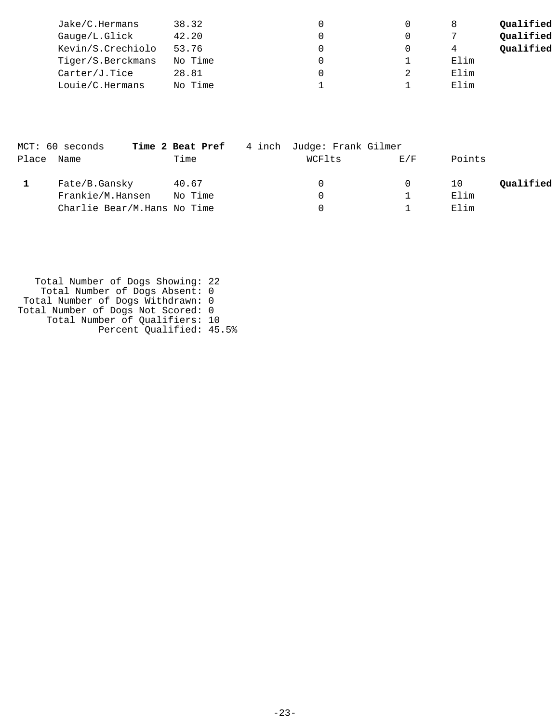| Jake/C.Hermans    | 38.32   |  |      | Qualified |
|-------------------|---------|--|------|-----------|
| Gauge/L.Glick     | 42.20   |  |      | Qualified |
| Kevin/S.Crechiolo | 53.76   |  | 4    | Qualified |
| Tiger/S.Berckmans | No Time |  | Elim |           |
| Carter/J.Tice     | 28.81   |  | Elim |           |
| Louie/C.Hermans   | No Time |  | Elim |           |

|            | MCT: 60 seconds             | Time 2 Beat Pref | 4 inch Judge: Frank Gilmer |     |        |           |
|------------|-----------------------------|------------------|----------------------------|-----|--------|-----------|
| Place Name |                             | Time             | WCFlts                     | E/F | Points |           |
|            | Fate/B.Gansky               | 40.67            | $\left( \right)$           |     | 10     | Qualified |
|            | Frankie/M.Hansen            | No Time          |                            |     | Elim   |           |
|            | Charlie Bear/M.Hans No Time |                  |                            |     | Elim   |           |

 Total Number of Dogs Showing: 22 Total Number of Dogs Absent: 0 Total Number of Dogs Withdrawn: 0 Total Number of Dogs Not Scored: 0 Total Number of Qualifiers: 10 Percent Qualified: 45.5%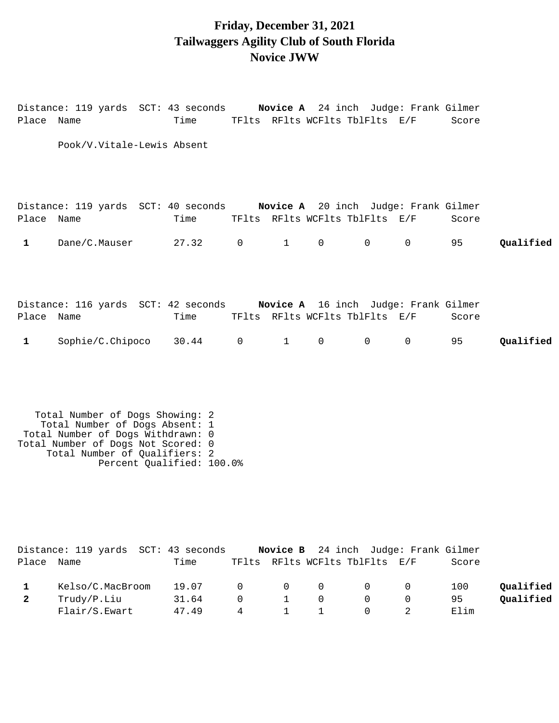### **Friday, December 31, 2021 Tailwaggers Agility Club of South Florida Novice JWW**

|              | Distance: 119 yards SCT: 43 seconds Novice A 24 inch Judge: Frank Gilmer |                                     |                |                        |                |                                |             |       |           |
|--------------|--------------------------------------------------------------------------|-------------------------------------|----------------|------------------------|----------------|--------------------------------|-------------|-------|-----------|
| Place Name   |                                                                          | Time TFlts RFlts WCFlts TblFlts E/F |                |                        |                |                                |             | Score |           |
|              | Pook/V.Vitale-Lewis Absent                                               |                                     |                |                        |                |                                |             |       |           |
| Place Name   | Distance: 119 yards SCT: 40 seconds Novice A 20 inch Judge: Frank Gilmer | Time TFlts RFlts WCFlts TblFlts E/F |                |                        |                |                                |             | Score |           |
| $\mathbf{1}$ | Dane/C.Mauser 27.32 0                                                    |                                     |                | 1                      | $\overline{0}$ |                                | $0\qquad 0$ | 95    | Qualified |
|              |                                                                          |                                     |                |                        |                |                                |             |       |           |
|              | Distance: 116 yards SCT: 42 seconds Novice A 16 inch Judge: Frank Gilmer |                                     |                |                        |                |                                |             |       |           |
|              | Place Name                                                               | Time                                |                |                        |                | TFlts RFlts WCFlts TblFlts E/F |             | Score |           |
| $\mathbf{1}$ | Sophie/C.Chipoco 30.44                                                   |                                     | $\overline{0}$ | $1 \quad \blacksquare$ | $\overline{0}$ | $\overline{0}$                 | 0           | 95    | Qualified |

 Total Number of Dogs Showing: 2 Total Number of Dogs Absent: 1 Total Number of Dogs Withdrawn: 0 Total Number of Dogs Not Scored: 0 Total Number of Qualifiers: 2 Percent Qualified: 100.0%

|       | Distance: 119 yards  SCT: 43 seconds |       |          |                 |          | <b>Novice B</b> 24 inch Judge: Frank Gilmer |          |       |           |
|-------|--------------------------------------|-------|----------|-----------------|----------|---------------------------------------------|----------|-------|-----------|
| Place | Name                                 | Time  |          |                 |          | TFlts RFlts WCFlts TblFlts E/F              |          | Score |           |
|       | Kelso/C.MacBroom                     | 19.07 | $\cap$   | $\Omega$        | $\Omega$ | 0                                           | $\Omega$ | 100   | Oualified |
|       | Trudy/P.Liu                          | 31.64 | $\Omega$ | $\sim$ 1 $\sim$ | $\Omega$ | 0                                           |          | 95    | Oualified |
|       | Flair/S.Ewart                        | 47.49 | 4        |                 |          |                                             |          | Elim  |           |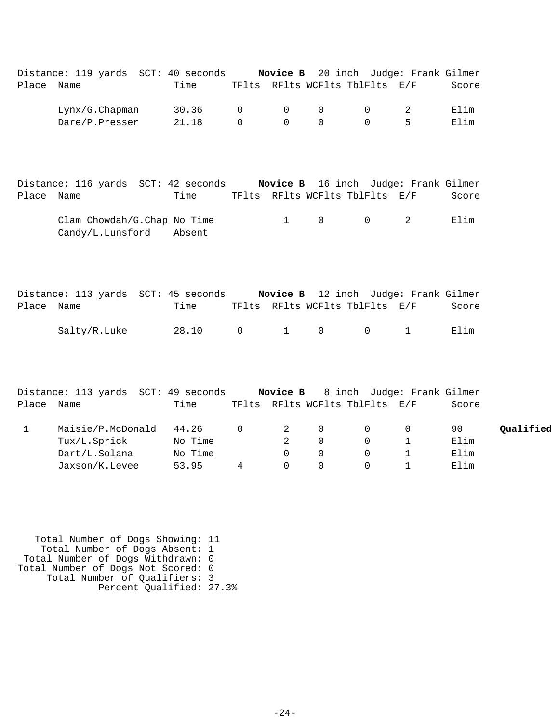|            | Distance: 119 yards SCT: 40 seconds |       |        |                |                                         | Novice B 20 inch Judge: Frank Gilmer |       |
|------------|-------------------------------------|-------|--------|----------------|-----------------------------------------|--------------------------------------|-------|
| Place Name |                                     | Time  |        |                |                                         | TFlts RFlts WCFlts TblFlts E/F       | Score |
|            | Lynx/G.Chapman                      | 30.36 |        |                | $\begin{matrix} 0 & 0 & 0 \end{matrix}$ | $\overline{0}$                       | Elim  |
|            | Dare/P.Presser                      | 21.18 | $\cap$ | $\overline{0}$ | $\Omega$                                | $\Omega$                             | Elim  |
|            |                                     |       |        |                |                                         |                                      |       |

|            | Distance: 116 yards SCT: 42 seconds                    |      |  |                                | Novice B 16 inch Judge: Frank Gilmer |       |
|------------|--------------------------------------------------------|------|--|--------------------------------|--------------------------------------|-------|
| Place Name |                                                        | Time |  | TFlts RFlts WCFlts TblFlts E/F |                                      | Score |
|            | Clam Chowdah/G.Chap No Time<br>Candy/L.Lunsford Absent |      |  | $1 \qquad 0 \qquad 0 \qquad 2$ |                                      | Filim |

|            | Distance: 113 yards SCT: 45 seconds |       |  |                       | Novice B 12 inch Judge: Frank Gilmer   |       |
|------------|-------------------------------------|-------|--|-----------------------|----------------------------------------|-------|
| Place Name |                                     | Time  |  |                       | TFlts RFlts WCFlts TblFlts E/F         | Score |
|            | Salty/R.Luke                        | 28.10 |  | $0 \qquad 1 \qquad 0$ | $\begin{array}{ccc} & & 1 \end{array}$ | Flim  |

|            | Distance: 113 yards SCT: 49 seconds |         |   |          |          |                                | <b>Novice B</b> 8 inch Judge: Frank Gilmer |           |
|------------|-------------------------------------|---------|---|----------|----------|--------------------------------|--------------------------------------------|-----------|
| Place Name |                                     | Time    |   |          |          | TFlts RFlts WCFlts TblFlts E/F | Score                                      |           |
|            | Maisie/P.McDonald                   | 44.26   | 0 | 2        | $\Omega$ | $\Omega$                       | 90                                         | Qualified |
|            | Tux/L.Sprick                        | No Time |   |          |          | $\Omega$                       | Elim                                       |           |
|            | Dart/L.Solana                       | No Time |   |          |          |                                | Elim                                       |           |
|            | Jaxson/K.Levee                      | 53.95   | 4 | $\Omega$ |          |                                | Elim                                       |           |

 Total Number of Dogs Showing: 11 Total Number of Dogs Absent: 1 Total Number of Dogs Withdrawn: 0 Total Number of Dogs Not Scored: 0 Total Number of Qualifiers: 3 Percent Qualified: 27.3%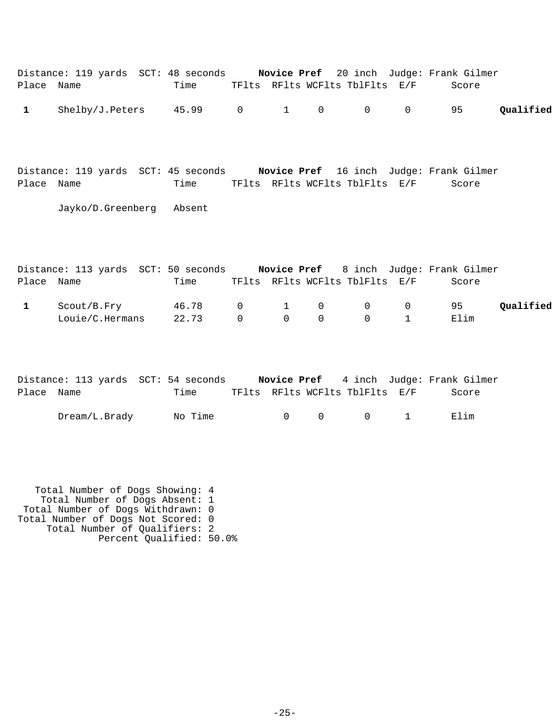|              |                 | Distance: 119 yards SCT: 48 seconds |  |                                | <b>Novice Pref</b> 20 inch Judge: Frank Gilmer |           |
|--------------|-----------------|-------------------------------------|--|--------------------------------|------------------------------------------------|-----------|
| Place Name   |                 | Time                                |  | TFlts RFlts WCFlts TblFlts E/F | Score                                          |           |
| $\mathbf{1}$ | Shelby/J.Peters | 45.99 0 1 0 0 0 95                  |  |                                |                                                | Qualified |

Distance: 119 yards SCT: 45 seconds **Novice Pref** 16 inch Judge: Frank Gilmer Place Name Time TFlts RFlts WCFlts TblFlts E/F Score

Jayko/D.Greenberg Absent

|            | Distance: 113 yards SCT: 50 seconds |                 |          |                |                |                                              | Novice Pref 8 inch Judge: Frank Gilmer |           |
|------------|-------------------------------------|-----------------|----------|----------------|----------------|----------------------------------------------|----------------------------------------|-----------|
| Place Name |                                     | Time            |          |                |                | TFlts RFlts WCFlts TblFlts E/F               | Score                                  |           |
|            | Scout/B.Fry                         | 46.78 0 1 0 0 0 |          |                |                |                                              | 95                                     | Qualified |
|            | Louie/C.Hermans                     | 22.73           | $\Omega$ | $\overline{0}$ | $\overline{0}$ | $\begin{array}{ccc} & & 0 & & 1 \end{array}$ | Elim                                   |           |

|            |               | Distance: 113 yards SCT: 54 seconds |                                |                                | <b>Novice Pref</b> 4 inch Judge: Frank Gilmer |
|------------|---------------|-------------------------------------|--------------------------------|--------------------------------|-----------------------------------------------|
| Place Name |               | Time                                | TFlts RFlts WCFlts TblFlts E/F |                                | Score                                         |
|            | Dream/L.Brady | No Time                             |                                | $0 \qquad 0 \qquad 0 \qquad 1$ | Elim                                          |

 Total Number of Dogs Showing: 4 Total Number of Dogs Absent: 1 Total Number of Dogs Withdrawn: 0 Total Number of Dogs Not Scored: 0 Total Number of Qualifiers: 2 Percent Qualified: 50.0%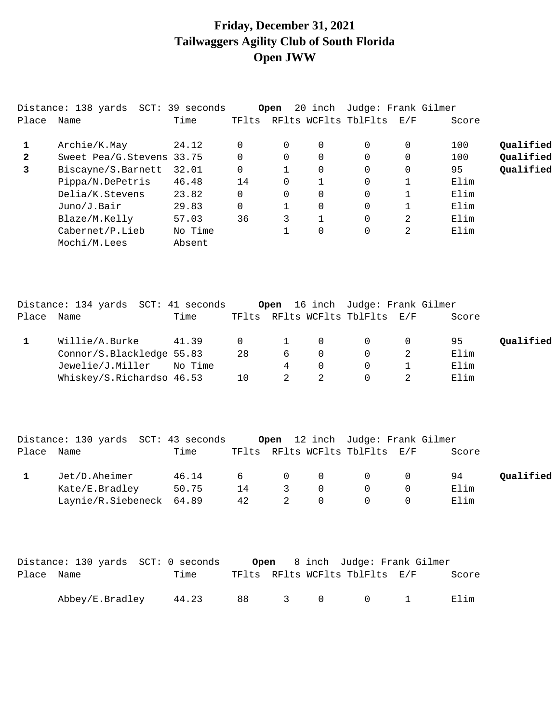# **Friday, December 31, 2021 Tailwaggers Agility Club of South Florida Open JWW**

|              | Distance: 138 yards  SCT: | 39 seconds |       | Open           | 20 inch      | Judge: Frank Gilmer  |     |       |           |
|--------------|---------------------------|------------|-------|----------------|--------------|----------------------|-----|-------|-----------|
| Place        | Name                      | Time       | TFlts |                |              | RFlts WCFlts TblFlts | E/F | Score |           |
|              | Archie/K.May              | 24.12      |       | $\Omega$       | $\Omega$     | $\Omega$             | 0   | 100   | Qualified |
| $\mathbf{2}$ | Sweet Pea/G.Stevens 33.75 |            |       | $\Omega$       | $\Omega$     | $\Omega$             | 0   | 100   | Qualified |
| 3            | Biscayne/S.Barnett        | 32.01      |       |                | $\Omega$     | 0                    | 0   | 95    | Qualified |
|              | Pippa/N.DePetris          | 46.48      | 14    | $\Omega$       |              | 0                    |     | Elim  |           |
|              | Delia/K.Stevens           | 23.82      |       | $\overline{0}$ | 0            | 0                    |     | Elim  |           |
|              | Juno/J.Bair               | 29.83      |       |                | 0            | 0                    |     | Elim  |           |
|              | Blaze/M.Kelly             | 57.03      | 36    | 3              | $\mathbf{1}$ | 0                    | 2   | Elim  |           |
|              | Cabernet/P.Lieb           | No Time    |       |                | 0            | 0                    | 2   | Elim  |           |
|              | Mochi/M.Lees              | Absent     |       |                |              |                      |     |       |           |

|            | Distance: 134 yards SCT: 41 seconds |         |          |                |                | Open 16 inch Judge: Frank Gilmer |       |           |
|------------|-------------------------------------|---------|----------|----------------|----------------|----------------------------------|-------|-----------|
| Place Name |                                     | Time    |          |                |                | TFlts RFlts WCFlts TblFlts E/F   | Score |           |
|            | Willie/A.Burke                      | 41.39   | $\Omega$ | $\overline{1}$ | $\overline{0}$ | $\Omega$                         | 95    | Oualified |
|            | Connor/S.Blackledge 55.83           |         | 28       | 6              | $\Omega$       | $\Omega$                         | Elim  |           |
|            | Jewelie/J.Miller                    | No Time |          | 4              | $\Omega$       |                                  | Elim  |           |
|            | Whiskey/S.Richardso 46.53           |         | 10       |                |                |                                  | Elim  |           |

|            | Distance: 130 yards SCT: 43 seconds |       |     |                |          | Open 12 inch Judge: Frank Gilmer                    |       |           |
|------------|-------------------------------------|-------|-----|----------------|----------|-----------------------------------------------------|-------|-----------|
| Place Name |                                     | Time  |     |                |          | TFlts RFlts WCFlts TblFlts E/F                      | Score |           |
|            | Jet/D.Aheimer                       | 46.14 | 6 — |                |          | $\begin{array}{ccccccc}\n0 & 0 & 0 & \n\end{array}$ | 94    | Qualified |
|            | Kate/E.Bradley                      | 50.75 | 14  | $\overline{3}$ | $\Omega$ | $\Omega$                                            | Elim  |           |
|            | Laynie/R.Siebeneck 64.89            |       | 42  |                |          |                                                     | Elim  |           |

|            | Distance: 130 yards  SCT: 0 seconds |       |                         |           | <b>Open</b> 8 inch Judge: Frank Gilmer |       |
|------------|-------------------------------------|-------|-------------------------|-----------|----------------------------------------|-------|
| Place Name |                                     | Time  |                         |           | TFlts RFlts WCFlts TblFlts E/F         | Score |
|            | Abbey/E.Bradley                     | 44.23 | $\overline{\mathbf{3}}$ | $\bigcap$ | $\cap$                                 | Elim  |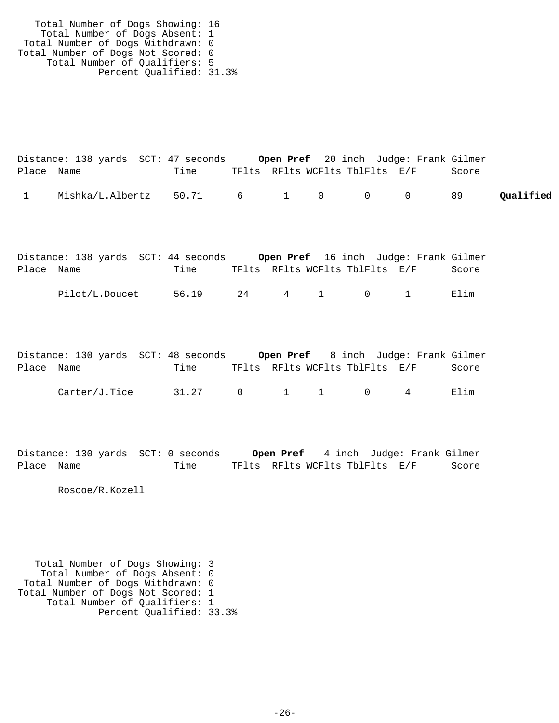Total Number of Dogs Showing: 16 Total Number of Dogs Absent: 1 Total Number of Dogs Withdrawn: 0 Total Number of Dogs Not Scored: 0 Total Number of Qualifiers: 5 Percent Qualified: 31.3%

|            | Distance: 138 yards SCT: 47 seconds |      |                                |  |  | <b>Open Pref</b> 20 inch Judge: Frank Gilmer |           |
|------------|-------------------------------------|------|--------------------------------|--|--|----------------------------------------------|-----------|
| Place Name |                                     | Time | TFlts RFlts WCFlts TblFlts E/F |  |  | Score                                        |           |
|            | Mishka/L.Albertz 50.71 6 1 0 0 0 89 |      |                                |  |  |                                              | Qualified |

|            | Distance: 138 yards SCT: 44 seconds Open Pref 16 inch Judge: Frank Gilmer |       |                                |         |  |       |
|------------|---------------------------------------------------------------------------|-------|--------------------------------|---------|--|-------|
| Place Name |                                                                           | Time  | TFlts RFlts WCFlts TblFlts E/F |         |  | Score |
|            | Pilot/L.Doucet                                                            | 56.19 | 24                             | 4 1 0 1 |  | Elim  |

|            | Distance: 130 yards SCT: 48 seconds |       |                                |  |  | <b>Open Pref</b> 8 inch Judge: Frank Gilmer |
|------------|-------------------------------------|-------|--------------------------------|--|--|---------------------------------------------|
| Place Name |                                     | Time  | TFlts RFlts WCFlts TblFlts E/F |  |  | Score                                       |
|            | Carter/J.Tice                       | 31.27 | 0 1 1 0 4                      |  |  | Flim                                        |

Distance: 130 yards SCT: 0 seconds **Open Pref** 4 inch Judge: Frank Gilmer Place Name Time TFlts RFlts WCFlts TblFlts E/F Score

Roscoe/R.Kozell

 Total Number of Dogs Showing: 3 Total Number of Dogs Absent: 0 Total Number of Dogs Withdrawn: 0 Total Number of Dogs Not Scored: 1 Total Number of Qualifiers: 1 Percent Qualified: 33.3%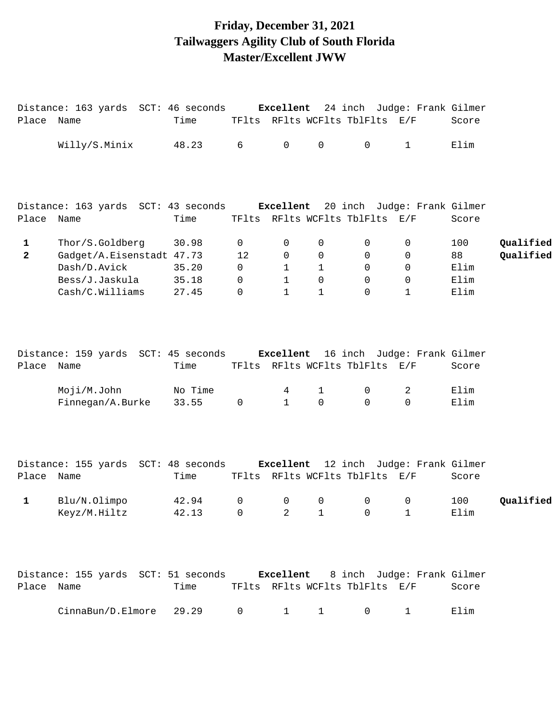## **Friday, December 31, 2021 Tailwaggers Agility Club of South Florida Master/Excellent JWW**

|                   | Distance: 163 yards SCT: 46 seconds Excellent 24 inch Judge: Frank Gilmer |                  |                        |                                |                             |                                     |                   |                   |                        |
|-------------------|---------------------------------------------------------------------------|------------------|------------------------|--------------------------------|-----------------------------|-------------------------------------|-------------------|-------------------|------------------------|
| Place Name        |                                                                           | Time             |                        | TFlts RFlts WCFlts TblFlts E/F |                             |                                     |                   | Score             |                        |
|                   | Willy/S.Minix                                                             | 48.23            | 6                      | $\overline{0}$                 | $\mathsf{O}\xspace$         | $\overline{0}$                      | $\mathbf{1}$      | Elim              |                        |
|                   | Distance: 163 yards SCT: 43 seconds Excellent 20 inch Judge: Frank Gilmer |                  |                        |                                |                             |                                     |                   |                   |                        |
| Place Name        |                                                                           | Time             |                        | TFlts RFlts WCFlts TblFlts E/F |                             |                                     |                   | Score             |                        |
| 1<br>$\mathbf{2}$ | Thor/S.Goldberg<br>Gadget/A.Eisenstadt 47.73<br>Dash/D.Avick              | 30.98<br>35.20   | 0<br>12<br>$\mathbf 0$ | 0<br>0<br>$\mathbf{1}$         | 0<br>0<br>1                 | 0<br>0<br>0                         | 0<br>0<br>0       | 100<br>88<br>Elim | Qualified<br>Qualified |
|                   | Bess/J.Jaskula<br>Cash/C.Williams                                         | 35.18<br>27.45   | 0<br>0                 | $\mathbf{1}$<br>$\mathbf{1}$   | $\mathbf 0$<br>$\mathbf{1}$ | $\mathbf 0$<br>$\mathbf 0$          | 0<br>$\mathbf 1$  | Elim<br>Elim      |                        |
| Place Name        | Distance: 159 yards SCT: 45 seconds Excellent 16 inch Judge: Frank Gilmer | Time             |                        | TFlts RFlts WCFlts TblFlts E/F |                             |                                     |                   | Score             |                        |
|                   | Moji/M.John<br>Finnegan/A.Burke                                           | No Time<br>33.55 | $\mathsf{O}$           | 4<br>$\mathbf{1}$              | $\mathbf{1}$<br>$\Omega$    | $\mathsf{O}$<br>$\Omega$            | 2<br>$\Omega$     | Elim<br>Elim      |                        |
| Place Name        | Distance: 155 yards SCT: 48 seconds Excellent 12 inch Judge: Frank Gilmer | Time             |                        | TFlts RFlts WCFlts TblFlts E/F |                             |                                     |                   | Score             |                        |
| 1                 | Blu/N.Olimpo<br>Keyz/M.Hiltz                                              | 42.94<br>42.13 0 | $\mathsf{O}$           | $\mathbf 0$<br>$\overline{2}$  | $\mathsf 0$                 | $\mathsf{O}$<br>$1 \qquad \qquad 0$ | $\mathsf{O}$<br>1 | 100<br>Elim       | Qualified              |
| Place Name        | Distance: 155 yards SCT: 51 seconds Excellent 8 inch Judge: Frank Gilmer  | Time             |                        | TFlts RFlts WCFlts TblFlts E/F |                             |                                     |                   | Score             |                        |
|                   | CinnaBun/D.Elmore                                                         | 29.29            | 0                      | $\mathbf{1}$                   | 1                           | 0                                   | 1                 | Elim              |                        |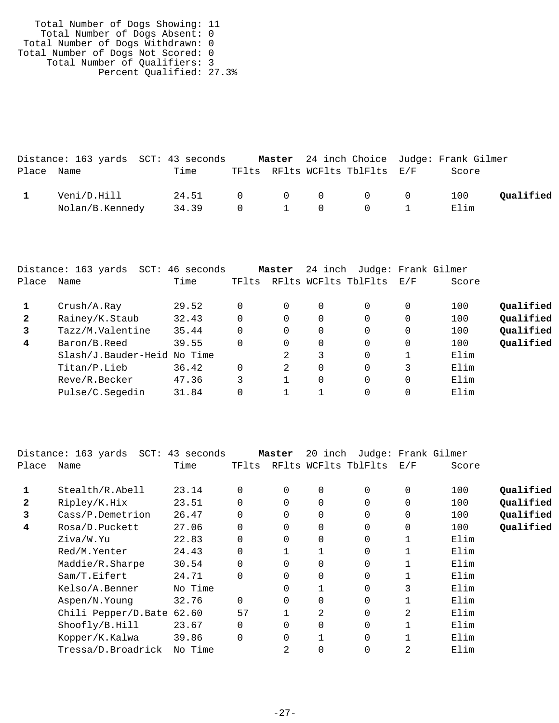Total Number of Dogs Showing: 11 Total Number of Dogs Absent: 0 Total Number of Dogs Withdrawn: 0 Total Number of Dogs Not Scored: 0 Total Number of Qualifiers: 3 Percent Qualified: 27.3%

|            |                 | Distance: 163 yards SCT: 43 seconds |  |                                | Master 24 inch Choice Judge: Frank Gilmer |           |
|------------|-----------------|-------------------------------------|--|--------------------------------|-------------------------------------------|-----------|
| Place Name |                 | Time                                |  | TFlts RFlts WCFlts TblFlts E/F | Score                                     |           |
|            | Veni/D.Hill     | 24.51 0 0 0 0 0 100                 |  |                                |                                           | Qualified |
|            | Nolan/B.Kennedy | 34.39                               |  | 0 1 0 0 1                      | Elim                                      |           |

|              | Distance: 163 yards<br>$SCT$ : | 46<br>seconds |          | Master   | 24 inch |                      |     | Judge: Frank Gilmer |           |
|--------------|--------------------------------|---------------|----------|----------|---------|----------------------|-----|---------------------|-----------|
| Place        | Name                           | Time          | TFlts    |          |         | RFlts WCFlts TblFlts | E/F | Score               |           |
|              | Crush/A.Ray                    | 29.52         |          | 0        | 0       | 0                    | 0   | 100                 | Qualified |
| $\mathbf{2}$ | Rainey/K.Staub                 | 32.43         |          | $\Omega$ | 0       | 0                    | 0   | 100                 | Qualified |
| 3            | Tazz/M.Valentine               | 35.44         | $\Omega$ | $\Omega$ | 0       | $\Omega$             | 0   | 100                 | Qualified |
| 4            | Baron/B.Reed                   | 39.55         | $\Omega$ | $\Omega$ | 0       | 0                    | 0   | 100                 | Qualified |
|              | Slash/J.Bauder-Heid No Time    |               |          | 2        | 3       | 0                    |     | Elim                |           |
|              | Titan/P.Lieb                   | 36.42         | $\Omega$ | 2        | 0       | 0                    | 3   | Elim                |           |
|              | Reve/R.Becker                  | 47.36         | 3        |          | 0       | 0                    | 0   | Elim                |           |
|              | Pulse/C.Segedin                | 31.84         |          |          |         | 0                    | 0   | Elim                |           |
|              |                                |               |          |          |         |                      |     |                     |           |

|       | Distance: 163 yards SCT: 43 seconds |         |             | Master   | 20 inch |                      |          | Judge: Frank Gilmer |           |
|-------|-------------------------------------|---------|-------------|----------|---------|----------------------|----------|---------------------|-----------|
| Place | Name                                | Time    | TFlts       |          |         | RFlts WCFlts TblFlts | E/F      | Score               |           |
|       | Stealth/R.Abell                     | 23.14   | $\Omega$    | $\Omega$ | 0       | $\Omega$             | $\Omega$ | 100                 | Qualified |
| 2     | Ripley/K.Hix                        | 23.51   | $\Omega$    | $\Omega$ | 0       | $\Omega$             | 0        | 100                 | Qualified |
| 3     | Cass/P.Demetrion                    | 26.47   | $\Omega$    | $\Omega$ | 0       | $\Omega$             | 0        | 100                 | Qualified |
| 4     | Rosa/D.Puckett                      | 27.06   | $\Omega$    | $\Omega$ | 0       | $\Omega$             | 0        | 100                 | Qualified |
|       | Ziva/W.Yu                           | 22.83   | $\Omega$    | $\Omega$ | 0       | $\Omega$             |          | Elim                |           |
|       | Red/M.Yenter                        | 24.43   | 0           |          |         | 0                    |          | Elim                |           |
|       | Maddie/R.Sharpe                     | 30.54   | $\Omega$    | $\Omega$ | 0       | 0                    |          | Elim                |           |
|       | Sam/T.Eifert                        | 24.71   | $\Omega$    |          | 0       | 0                    |          | Elim                |           |
|       | Kelso/A.Benner                      | No Time |             | 0        |         | $\Omega$             | 3        | Elim                |           |
|       | Aspen/N.Young                       | 32.76   | $\mathbf 0$ | 0        | 0       | 0                    |          | Elim                |           |
|       | Chili Pepper/D.Bate                 | 62.60   | 57          |          | 2       | 0                    | 2        | Elim                |           |
|       | Shoofly/B.Hill                      | 23.67   | $\Omega$    | $\Omega$ | 0       | $\Omega$             |          | Elim                |           |
|       | Kopper/K.Kalwa                      | 39.86   | $\Omega$    | 0        |         | $\Omega$             |          | Elim                |           |
|       | Tressa/D.Broadrick                  | No Time |             | 2        | 0       | 0                    | 2        | Elim                |           |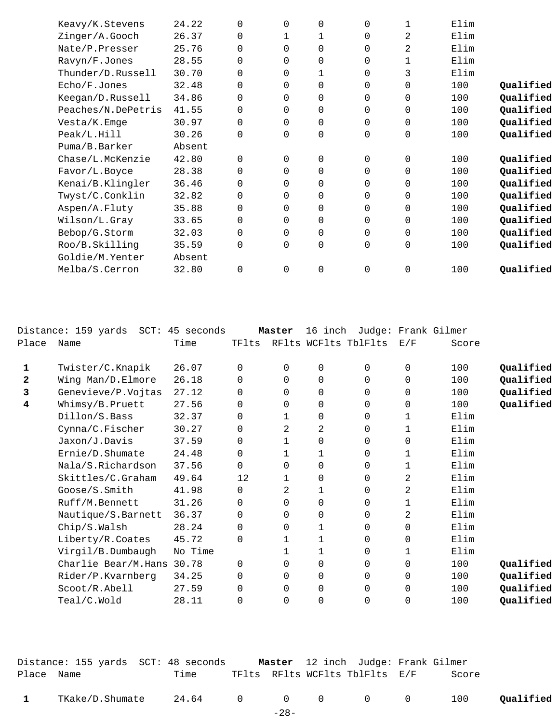| Keavy/K.Stevens    | 24.22  | $\Omega$    | 0        | 0        | $\Omega$       | 1 | Elim |           |
|--------------------|--------|-------------|----------|----------|----------------|---|------|-----------|
| Zinger/A.Gooch     | 26.37  | $\mathbf 0$ |          | 1        | 0              | 2 | Elim |           |
| Nate/P.Presser     | 25.76  | $\Omega$    | 0        | $\Omega$ | $\Omega$       | 2 | Elim |           |
| Ravyn/F.Jones      | 28.55  | 0           | 0        | 0        | $\Omega$       | 1 | Elim |           |
| Thunder/D.Russell  | 30.70  | $\Omega$    | $\Omega$ |          | $\Omega$       | 3 | Elim |           |
| Echo/F.Jones       | 32.48  | 0           | 0        | $\Omega$ | 0              | 0 | 100  | Qualified |
| Keegan/D.Russell   | 34.86  | $\Omega$    | $\Omega$ | $\Omega$ | $\Omega$       | 0 | 100  | Qualified |
| Peaches/N.DePetris | 41.55  | 0           | 0        | 0        | 0              | 0 | 100  | Qualified |
| Vesta/K.Emge       | 30.97  | $\mathbf 0$ | $\Omega$ | $\Omega$ | 0              | 0 | 100  | Qualified |
| Peak/L.Hill        | 30.26  | $\mathbf 0$ | 0        | 0        | 0              | 0 | 100  | Qualified |
| Puma/B.Barker      | Absent |             |          |          |                |   |      |           |
| Chase/L.McKenzie   | 42.80  | $\Omega$    | $\Omega$ | $\Omega$ | 0              | 0 | 100  | Qualified |
| Favor/L.Boyce      | 28.38  | $\mathbf 0$ | $\Omega$ | $\Omega$ | 0              | 0 | 100  | Qualified |
| Kenai/B.Klingler   | 36.46  | $\mathbf 0$ | 0        | 0        | 0              | 0 | 100  | Qualified |
| Twyst/C.Conklin    | 32.82  | $\mathbf 0$ | 0        | $\Omega$ | 0              | 0 | 100  | Qualified |
| Aspen/A.Fluty      | 35.88  | $\Omega$    | 0        | $\Omega$ | $\Omega$       | 0 | 100  | Qualified |
| Wilson/L.Gray      | 33.65  | $\mathbf 0$ | 0        | 0        | 0              | 0 | 100  | Qualified |
| Bebop/G.Storm      | 32.03  | $\Omega$    | $\Omega$ | $\Omega$ | 0              | 0 | 100  | Qualified |
| Roo/B.Skilling     | 35.59  | $\mathbf 0$ | 0        | 0        | $\overline{0}$ | 0 | 100  | Qualified |
| Goldie/M.Yenter    | Absent |             |          |          |                |   |      |           |
| Melba/S.Cerron     | 32.80  | $\Omega$    | 0        | 0        | 0              | 0 | 100  | Qualified |
|                    |        |             |          |          |                |   |      |           |

|       | Distance: 159 yards SCT: 45 seconds |         |          | Master       | 16 inch     |                      |          | Judge: Frank Gilmer |           |
|-------|-------------------------------------|---------|----------|--------------|-------------|----------------------|----------|---------------------|-----------|
| Place | Name                                | Time    | TFlts    |              |             | RFlts WCFlts TblFlts | E/F      | Score               |           |
| 1     | Twister/C.Knapik                    | 26.07   | $\Omega$ | $\Omega$     | $\mathbf 0$ | $\Omega$             | 0        | 100                 | Qualified |
| 2     | Wing Man/D.Elmore                   | 26.18   | $\Omega$ | $\Omega$     | 0           | $\Omega$             | $\Omega$ | 100                 | Qualified |
| 3     | Genevieve/P.Vojtas                  | 27.12   | 0        | 0            | $\mathbf 0$ | 0                    | 0        | 100                 | Qualified |
| 4     | Whimsy/B.Pruett                     | 27.56   | 0        | 0            | 0           | 0                    | 0        | 100                 | Qualified |
|       | Dillon/S.Bass                       | 32.37   | $\Omega$ | 1            | $\mathbf 0$ | 0                    | 1        | Elim                |           |
|       | Cynna/C.Fischer                     | 30.27   | 0        | 2            | 2           | 0                    | 1        | Elim                |           |
|       | Jaxon/J.Davis                       | 37.59   | 0        | 1            | $\mathbf 0$ | 0                    | 0        | Elim                |           |
|       | Ernie/D.Shumate                     | 24.48   | $\Omega$ | 1            | 1           | $\Omega$             | 1        | Elim                |           |
|       | Nala/S.Richardson                   | 37.56   | $\Omega$ | $\Omega$     | $\Omega$    | $\Omega$             | 1        | Elim                |           |
|       | Skittles/C.Graham                   | 49.64   | 12       | $\mathbf{1}$ | 0           | $\Omega$             | 2        | Elim                |           |
|       | Goose/S.Smith                       | 41.98   | 0        | 2            | 1           | 0                    | 2        | Elim                |           |
|       | Ruff/M.Bennett                      | 31.26   | $\Omega$ | $\Omega$     | $\mathbf 0$ | $\Omega$             | 1        | Elim                |           |
|       | Nautique/S.Barnett                  | 36.37   | $\Omega$ | $\Omega$     | $\mathbf 0$ | $\Omega$             | 2        | Elim                |           |
|       | Chip/S.Walsh                        | 28.24   | 0        | 0            | $\mathbf 1$ | 0                    | 0        | Elim                |           |
|       | Liberty/R.Coates                    | 45.72   | $\Omega$ | 1            | 1           | $\Omega$             | 0        | Elim                |           |
|       | Virgil/B.Dumbaugh                   | No Time |          |              | 1           | $\Omega$             | 1        | Elim                |           |
|       | Charlie Bear/M.Hans 30.78           |         | 0        | $\Omega$     | $\mathbf 0$ | $\Omega$             | $\Omega$ | 100                 | Qualified |
|       | Rider/P.Kvarnberg                   | 34.25   | $\Omega$ | $\Omega$     | 0           | $\Omega$             | $\Omega$ | 100                 | Qualified |
|       | Scoot/R.Abell                       | 27.59   | $\Omega$ | 0            | 0           | 0                    | 0        | 100                 | Qualified |
|       | Teal/C.Wold                         | 28.11   | $\Omega$ | $\Omega$     | 0           | $\Omega$             | 0        | 100                 | Qualified |
|       |                                     |         |          |              |             |                      |          |                     |           |

|            | Distance: 155 yards  SCT: 48 seconds |                 |        | Master 12 inch Judge: Frank Gilmer |       |           |
|------------|--------------------------------------|-----------------|--------|------------------------------------|-------|-----------|
| Place Name |                                      | Time            |        | TFlts RFlts WCFlts TblFlts E/F     | Score |           |
|            | TKake/D.Shumate                      | 24.64 0 0 0 0 0 |        |                                    | 100   | Qualified |
|            |                                      |                 | $-28-$ |                                    |       |           |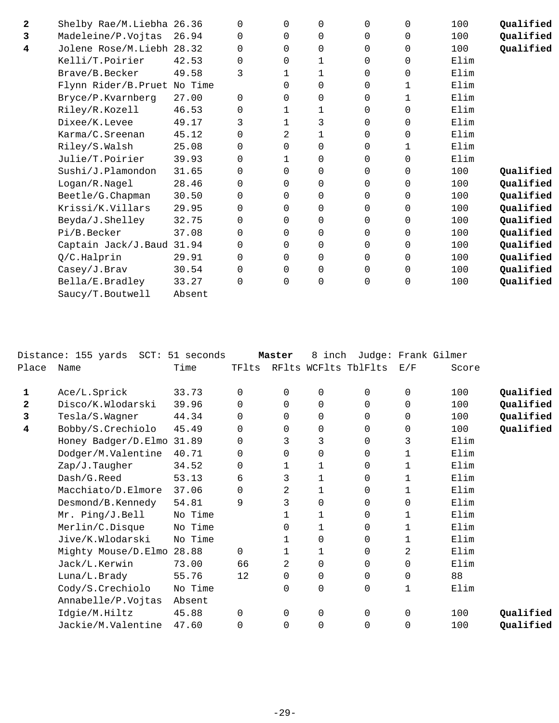| 2 | Shelby Rae/M.Liebha 26.36    |        | $\Omega$ | $\Omega$ | $\Omega$ | $\Omega$ | 0            | 100  | Qualified |
|---|------------------------------|--------|----------|----------|----------|----------|--------------|------|-----------|
| 3 | Madeleine/P.Vojtas           | 26.94  | 0        | $\Omega$ | 0        | 0        | 0            | 100  | Qualified |
| 4 | Jolene Rose/M.Liebh 28.32    |        | 0        | $\Omega$ | $\Omega$ | 0        | 0            | 100  | Qualified |
|   | Kelli/T.Poirier              | 42.53  | $\Omega$ | $\Omega$ | 1        | 0        | $\Omega$     | Elim |           |
|   | Brave/B.Becker               | 49.58  | 3        | 1        | 1        | 0        | $\Omega$     | Elim |           |
|   | Flynn Rider/B. Pruet No Time |        |          | 0        | 0        | 0        | 1            | Elim |           |
|   | Bryce/P.Kvarnberg            | 27.00  | 0        | $\Omega$ | 0        | 0        | $\mathbf{1}$ | Elim |           |
|   | Riley/R.Kozell               | 46.53  | 0        | 1        | 1        | 0        | $\Omega$     | Elim |           |
|   | Dixee/K.Levee                | 49.17  | 3        |          | 3        | 0        | $\Omega$     | Elim |           |
|   | Karma/C.Sreenan              | 45.12  | 0        | 2        | 1        | 0        | $\mathbf 0$  | Elim |           |
|   | Riley/S.Walsh                | 25.08  | $\Omega$ | 0        | $\Omega$ | 0        | 1            | Elim |           |
|   | Julie/T.Poirier              | 39.93  | $\Omega$ | 1        | $\Omega$ | 0        | $\Omega$     | Elim |           |
|   | Sushi/J.Plamondon            | 31.65  | 0        | $\Omega$ | 0        | 0        | $\Omega$     | 100  | Qualified |
|   | Logan/R.Nagel                | 28.46  | 0        | $\Omega$ | $\Omega$ | 0        | $\Omega$     | 100  | Qualified |
|   | Beetle/G. Chapman            | 30.50  | 0        | 0        | 0        | 0        | $\mathbf 0$  | 100  | Qualified |
|   | Krissi/K.Villars             | 29.95  | 0        | $\Omega$ | $\Omega$ | 0        | $\Omega$     | 100  | Qualified |
|   | Beyda/J.Shelley              | 32.75  | $\Omega$ | $\Omega$ | $\Omega$ | 0        | $\Omega$     | 100  | Qualified |
|   | Pi/B.Becker                  | 37.08  | 0        | 0        | 0        | 0        | 0            | 100  | Qualified |
|   | Captain Jack/J.Baud 31.94    |        | 0        | $\Omega$ | $\Omega$ | 0        | $\Omega$     | 100  | Qualified |
|   | Q/C.Halprin                  | 29.91  | $\Omega$ | $\Omega$ | 0        | 0        | $\mathbf 0$  | 100  | Qualified |
|   | Casey/J.Brav                 | 30.54  | $\Omega$ | $\Omega$ | 0        | $\Omega$ | $\Omega$     | 100  | Qualified |
|   | Bella/E.Bradley              | 33.27  | 0        | $\Omega$ | $\Omega$ | 0        | $\Omega$     | 100  | Qualified |
|   | Saucy/T.Boutwell             | Absent |          |          |          |          |              |      |           |

|              | Distance: 155 yards SCT: 51 seconds |         |          | Master       | 8 inch      |                      |             | Judge: Frank Gilmer |           |
|--------------|-------------------------------------|---------|----------|--------------|-------------|----------------------|-------------|---------------------|-----------|
| Place        | Name                                | Time    | TFlts    |              |             | RFlts WCFlts TblFlts | E/F         | Score               |           |
| 1            | Ace/L.Sprick                        | 33.73   | $\Omega$ | $\Omega$     | $\Omega$    | $\Omega$             | $\Omega$    | 100                 | Qualified |
| $\mathbf{2}$ | Disco/K.Wlodarski                   | 39.96   | $\Omega$ | $\Omega$     | $\Omega$    | $\Omega$             | $\Omega$    | 100                 | Qualified |
| 3            | Tesla/S.Wagner                      | 44.34   | $\Omega$ | $\Omega$     | 0           | $\Omega$             | $\Omega$    | 100                 | Qualified |
| 4            | Bobby/S.Crechiolo                   | 45.49   | 0        | 0            | $\mathbf 0$ | 0                    | 0           | 100                 | Qualified |
|              | Honey Badger/D.Elmo 31.89           |         | 0        | 3            | 3           | 0                    | 3           | Elim                |           |
|              | Dodger/M.Valentine                  | 40.71   | 0        | $\Omega$     | 0           | $\Omega$             | 1           | Elim                |           |
|              | Zap/J.Taugher                       | 34.52   | $\Omega$ | 1            | 1           | $\Omega$             | 1           | Elim                |           |
|              | Dash/G.Reed                         | 53.13   | 6        | 3            | 1           | 0                    | 1           | Elim                |           |
|              | Macchiato/D.Elmore                  | 37.06   | $\Omega$ | 2            | 1           | $\Omega$             | 1           | Elim                |           |
|              | Desmond/B.Kennedy                   | 54.81   | 9        | 3            | 0           | 0                    | $\mathbf 0$ | Elim                |           |
|              | Mr. Ping/J.Bell                     | No Time |          | $\mathbf{1}$ | 1           | $\Omega$             | 1           | Elim                |           |
|              | Merlin/C.Disque                     | No Time |          | 0            | 1           | 0                    |             | Elim                |           |
|              | Jive/K.Wlodarski                    | No Time |          | $\mathbf{1}$ | $\mathbf 0$ | 0                    | 1           | Elim                |           |
|              | Mighty Mouse/D.Elmo                 | 28.88   | 0        | 1            | 1           | 0                    | 2           | Elim                |           |
|              | Jack/L.Kerwin                       | 73.00   | 66       | 2            | $\Omega$    | $\Omega$             | $\Omega$    | Elim                |           |
|              | Luna/L.Brady                        | 55.76   | 12       | $\Omega$     | $\mathbf 0$ | 0                    | $\mathbf 0$ | 88                  |           |
|              | Cody/S.Crechiolo                    | No Time |          | $\Omega$     | 0           | 0                    | 1           | Elim                |           |
|              | Annabelle/P.Vojtas                  | Absent  |          |              |             |                      |             |                     |           |
|              | Idgie/M.Hiltz                       | 45.88   | $\Omega$ | $\Omega$     | $\mathbf 0$ | $\Omega$             | $\Omega$    | 100                 | Qualified |
|              | Jackie/M.Valentine                  | 47.60   | $\Omega$ | $\Omega$     | 0           | 0                    | 0           | 100                 | Qualified |
|              |                                     |         |          |              |             |                      |             |                     |           |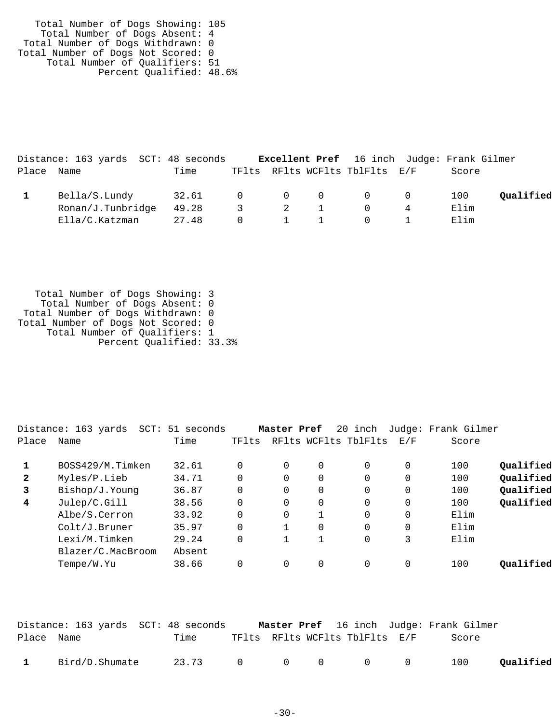Total Number of Dogs Showing: 105 Total Number of Dogs Absent: 4 Total Number of Dogs Withdrawn: 0 Total Number of Dogs Not Scored: 0 Total Number of Qualifiers: 51 Percent Qualified: 48.6%

|            | Distance: 163 yards SCT: 48 seconds |       |  |                       | <b>Excellent Pref</b> 16 inch Judge: Frank Gilmer |       |           |
|------------|-------------------------------------|-------|--|-----------------------|---------------------------------------------------|-------|-----------|
| Place Name |                                     | Time  |  |                       | TFlts RFlts WCFlts TblFlts E/F                    | Score |           |
|            | Bella/S.Lundy                       | 32.61 |  |                       | $\begin{matrix} 0 & 0 & 0 & 0 & 0 \end{matrix}$   | 100   | Qualified |
|            | Ronan/J.Tunbridge                   | 49.28 |  | 3 2 1                 | $\overline{0}$                                    | Elim  |           |
|            | Ella/C.Katzman                      | 27.48 |  | $0 \qquad 1 \qquad 1$ | $\overline{0}$                                    | Elim  |           |

 Total Number of Dogs Showing: 3 Total Number of Dogs Absent: 0 Total Number of Dogs Withdrawn: 0 Total Number of Dogs Not Scored: 0 Total Number of Qualifiers: 1 Percent Qualified: 33.3%

|       | Distance: 163 yards<br>SCT: | 51 seconds |       | Master Pref |          | 20 inch              |             | Judge: Frank Gilmer |           |
|-------|-----------------------------|------------|-------|-------------|----------|----------------------|-------------|---------------------|-----------|
| Place | Name                        | Time       | TFlts |             |          | RFlts WCFlts TblFlts | E/F         | Score               |           |
|       | BOSS429/M.Timken            | 32.61      |       | $\Omega$    | 0        | 0                    | $\Omega$    | 100                 | Qualified |
| 2     | Myles/P.Lieb                | 34.71      |       | $\Omega$    | $\Omega$ | $\Omega$             | $\Omega$    | 100                 | Qualified |
| 3     | Bishop/J.Young              | 36.87      |       | 0           | 0        | 0                    | $\mathbf 0$ | 100                 | Qualified |
| 4     | Julep/C.Gill                | 38.56      |       | 0           | 0        | 0                    | 0           | 100                 | Qualified |
|       | Albe/S.Cerron               | 33.92      |       | $\Omega$    |          | $\Omega$             | $\Omega$    | Elim                |           |
|       | Colt/J.Bruner               | 35.97      |       |             | $\Omega$ | $\Omega$             | $\Omega$    | Elim                |           |
|       | Lexi/M.Timken               | 29.24      |       |             | 1        | $\Omega$             | 3           | Elim                |           |
|       | Blazer/C.MacBroom           | Absent     |       |             |          |                      |             |                     |           |
|       | Tempe/W.Yu                  | 38.66      |       | 0           | 0        | $\Omega$             | 0           | 100                 | Oualified |
|       |                             |            |       |             |          |                      |             |                     |           |

|              |                | Distance: 163 yards SCT: 48 seconds |  |                                | <b>Master Pref</b> 16 inch Judge: Frank Gilmer |           |
|--------------|----------------|-------------------------------------|--|--------------------------------|------------------------------------------------|-----------|
| Place Name   |                | Time                                |  | TFlts RFlts WCFlts TblFlts E/F | Score                                          |           |
| $\mathbf{1}$ | Bird/D.Shumate | 23.73 0 0 0 0 0                     |  |                                | 100                                            | Qualified |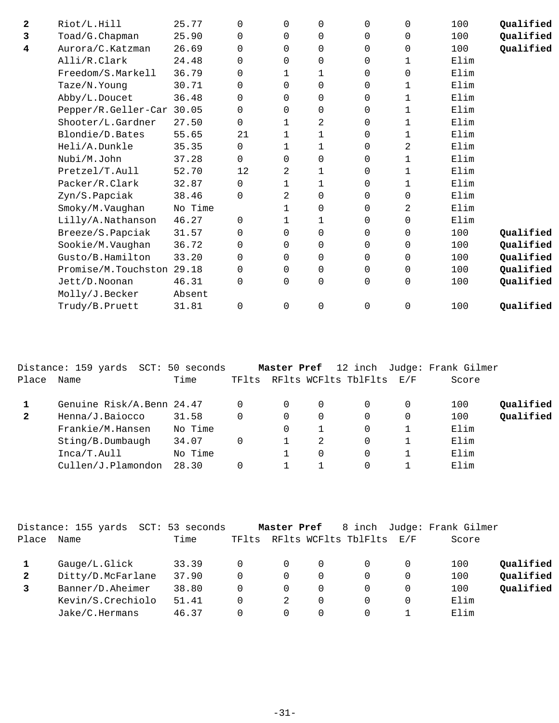| $\mathbf{2}$ | Riot/L.Hill               | 25.77   | $\Omega$ | $\Omega$ | 0            | $\Omega$ | $\mathbf 0$ | 100  | Qualified |
|--------------|---------------------------|---------|----------|----------|--------------|----------|-------------|------|-----------|
| 3            | Toad/G.Chapman            | 25.90   | $\Omega$ | $\Omega$ | 0            | 0        | $\mathbf 0$ | 100  | Qualified |
| 4            | Aurora/C.Katzman          | 26.69   | $\Omega$ | $\Omega$ | $\Omega$     | 0        | $\Omega$    | 100  | Qualified |
|              | Alli/R.Clark              | 24.48   | 0        | $\Omega$ | 0            | 0        | 1           | Elim |           |
|              | Freedom/S.Markell         | 36.79   | 0        | 1        | $\mathbf{1}$ | 0        | $\mathbf 0$ | Elim |           |
|              | Taze/N.Young              | 30.71   | 0        | $\Omega$ | 0            | 0        | 1           | Elim |           |
|              | Abby/L.Doucet             | 36.48   | 0        | $\Omega$ | 0            | 0        | 1           | Elim |           |
|              | Pepper/R.Geller-Car       | 30.05   | 0        | 0        | 0            | 0        | 1           | Elim |           |
|              | Shooter/L.Gardner         | 27.50   | 0        | 1        | 2            | 0        | 1           | Elim |           |
|              | Blondie/D.Bates           | 55.65   | 21       | 1        | 1            | 0        | 1           | Elim |           |
|              | Heli/A.Dunkle             | 35.35   | 0        | 1        | 1            | 0        | 2           | Elim |           |
|              | Nubi/M.John               | 37.28   | 0        | 0        | 0            | 0        | 1           | Elim |           |
|              | Pretzel/T.Aull            | 52.70   | 12       | 2        | 1            | 0        | 1           | Elim |           |
|              | Packer/R.Clark            | 32.87   | 0        | 1        | 1            | 0        | 1           | Elim |           |
|              | Zyn/S.Papciak             | 38.46   | 0        | 2        | 0            | 0        | $\Omega$    | Elim |           |
|              | Smoky/M.Vaughan           | No Time |          | 1        | $\Omega$     | 0        | 2           | Elim |           |
|              | Lilly/A.Nathanson         | 46.27   | $\Omega$ | 1        | 1            | 0        | $\mathbf 0$ | Elim |           |
|              | Breeze/S.Papciak          | 31.57   | $\Omega$ | $\Omega$ | $\Omega$     | 0        | 0           | 100  | Qualified |
|              | Sookie/M.Vaughan          | 36.72   | 0        | $\Omega$ | $\Omega$     | 0        | $\mathbf 0$ | 100  | Qualified |
|              | Gusto/B.Hamilton          | 33.20   | $\Omega$ | $\Omega$ | $\Omega$     | $\Omega$ | $\Omega$    | 100  | Qualified |
|              | Promise/M.Touchston 29.18 |         | 0        | $\Omega$ | 0            | $\Omega$ | $\mathbf 0$ | 100  | Qualified |
|              | Jett/D.Noonan             | 46.31   | 0        | $\Omega$ | 0            | 0        | $\mathbf 0$ | 100  | Qualified |
|              | Molly/J.Becker            | Absent  |          |          |              |          |             |      |           |
|              | Trudy/B.Pruett            | 31.81   | 0        | $\Omega$ | $\mathbf 0$  | $\Omega$ | $\Omega$    | 100  | Qualified |
|              |                           |         |          |          |              |          |             |      |           |

|              | Distance: 159 yards SCT: 50 seconds |         |          | Master Pref |          |                          |          | 12 inch Judge: Frank Gilmer |           |
|--------------|-------------------------------------|---------|----------|-------------|----------|--------------------------|----------|-----------------------------|-----------|
| Place        | Name                                | Time    | TFlts    |             |          | RFlts WCFlts TblFlts E/F |          | Score                       |           |
|              | Genuine Risk/A.Benn 24.47           |         | $\Omega$ | $\Omega$    | $\Omega$ | $\Omega$                 | $\Omega$ | 100                         | Qualified |
| $\mathbf{2}$ | Henna/J.Baiocco                     | 31.58   | $\Omega$ | 0           | $\Omega$ | $\Omega$                 | $\Omega$ | 100                         | Qualified |
|              | Frankie/M.Hansen                    | No Time |          | $\Omega$    |          | $\Omega$                 |          | Elim                        |           |
|              | Sting/B.Dumbaugh                    | 34.07   | $\Omega$ |             | 2        | $\Omega$                 |          | Elim                        |           |
|              | Inca/T.Aull                         | No Time |          |             | 0        | $\Omega$                 |          | Elim                        |           |
|              | Cullen/J.Plamondon                  | 28.30   |          |             |          |                          |          | Elim                        |           |
|              |                                     |         |          |             |          |                          |          |                             |           |

|              | Distance: 155 yards<br>SCT: | 53 seconds |              | Master Pref |          | 8 inch               |     | Judge: Frank Gilmer |           |
|--------------|-----------------------------|------------|--------------|-------------|----------|----------------------|-----|---------------------|-----------|
| Place        | Name                        | Time       | TFlts        |             |          | RFlts WCFlts TblFlts | E/F | Score               |           |
|              | Gauge/L.Glick               | 33.39      |              | 0           | $\Omega$ |                      | 0   | 100                 | Qualified |
| $\mathbf{2}$ | Ditty/D.McFarlane           | 37.90      | 0            | $\Omega$    | 0        | $\Omega$             | 0   | 100                 | Qualified |
|              | Banner/D.Aheimer            | 38.80      | 0            | $\Omega$    | 0        |                      | 0   | 100                 | Qualified |
|              | Kevin/S.Crechiolo           | 51.41      | 0            | 2           | 0        |                      | 0   | Elim                |           |
|              | Jake/C.Hermans              | 46.37      | <sup>n</sup> | 0           |          |                      |     | Elim                |           |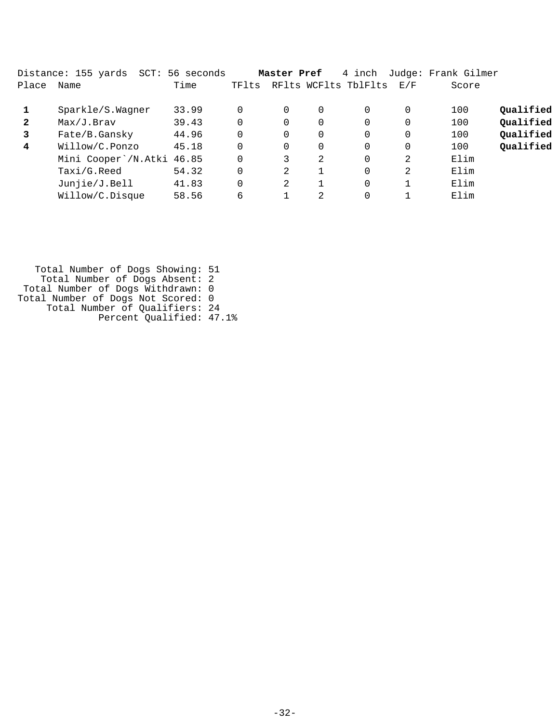|       | Distance: 155 yards<br>SCT: | 56 seconds |          | Master Pref |    | 4 inch               |          | Judge: Frank Gilmer |           |
|-------|-----------------------------|------------|----------|-------------|----|----------------------|----------|---------------------|-----------|
| Place | Name                        | Time       | TFlts    |             |    | RFlts WCFlts TblFlts | E/F      | Score               |           |
|       | Sparkle/S.Wagner            | 33.99      | 0        | $\Omega$    | 0  | 0                    | 0        | 100                 | Qualified |
| 2     | Max/J.Braw                  | 39.43      | $\Omega$ | $\Omega$    | 0  | 0                    | 0        | 100                 | Qualified |
| 3     | Fate/B.Gansky               | 44.96      | $\Omega$ | $\Omega$    | 0  | $\Omega$             | 0        | 100                 | Qualified |
| 4     | Willow/C.Ponzo              | 45.18      | $\Omega$ | $\Omega$    | 0  | $\Omega$             | $\Omega$ | 100                 | Qualified |
|       | Mini Cooper \/N.Atki 46.85  |            | $\Omega$ | 3           | 2  | $\Omega$             | 2        | Elim                |           |
|       | Taxi/G.Reed                 | 54.32      | $\Omega$ | 2           |    | $\Omega$             | 2        | Elim                |           |
|       | Junjie/J.Bell               | 41.83      | $\Omega$ | 2           |    | 0                    |          | Elim                |           |
|       | Willow/C.Disque             | 58.56      | 6        |             | 2. | 0                    |          | Elim                |           |

 Total Number of Dogs Showing: 51 Total Number of Dogs Absent: 2 Total Number of Dogs Withdrawn: 0 Total Number of Dogs Not Scored: 0 Total Number of Qualifiers: 24 Percent Qualified: 47.1%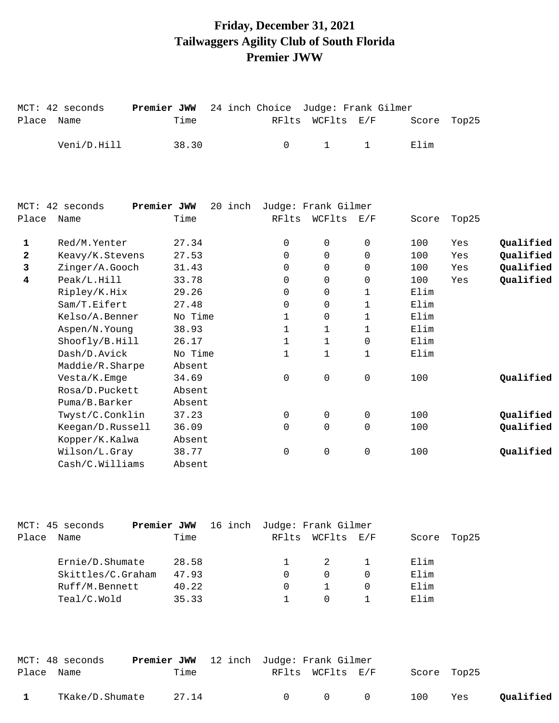## **Friday, December 31, 2021 Tailwaggers Agility Club of South Florida Premier JWW**

MCT: 42 seconds **Premier JWW** 24 inch Choice Judge: Frank Gilmer

Place Name Time Time RFlts WCFlts E/F Score Top25

|              | Veni/D.Hill               | 38.30   | 0            | 1                   | $\mathbf{1}$ | Elim  |       |           |
|--------------|---------------------------|---------|--------------|---------------------|--------------|-------|-------|-----------|
|              |                           |         |              |                     |              |       |       |           |
| MCT:         | 42 seconds<br>Premier JWW | 20 inch |              | Judge: Frank Gilmer |              |       |       |           |
| Place        | Name                      | Time    | RFlts        | WCFlts              | E/F          | Score | Top25 |           |
| 1            | Red/M.Yenter              | 27.34   | 0            | 0                   | 0            | 100   | Yes   | Qualified |
| $\mathbf{2}$ | Keavy/K.Stevens           | 27.53   | $\Omega$     | 0                   | 0            | 100   | Yes   | Qualified |
| 3            | Zinger/A.Gooch            | 31.43   | $\Omega$     | $\Omega$            | $\Omega$     | 100   | Yes   | Qualified |
| 4            | Peak/L.Hill               | 33.78   | $\Omega$     | 0                   | 0            | 100   | Yes   | Qualified |
|              | Ripley/K.Hix              | 29.26   | $\Omega$     | 0                   | $\mathbf{1}$ | Elim  |       |           |
|              | Sam/T.Eifert              | 27.48   | 0            | 0                   | 1            | Elim  |       |           |
|              | Kelso/A.Benner            | No Time | 1            | 0                   | 1            | Elim  |       |           |
|              | Aspen/N.Young             | 38.93   | $\mathbf{1}$ | $\mathbf{1}$        | $\mathbf{1}$ | Elim  |       |           |
|              | Shoofly/B.Hill            | 26.17   | 1            | $\mathbf{1}$        | $\mathbf 0$  | Elim  |       |           |
|              | Dash/D.Avick              | No Time | $\mathbf{1}$ | $\mathbf{1}$        | $\mathbf{1}$ | Elim  |       |           |
|              | Maddie/R.Sharpe           | Absent  |              |                     |              |       |       |           |
|              | Vesta/K.Emge              | 34.69   | 0            | 0                   | 0            | 100   |       | Qualified |
|              | Rosa/D.Puckett            | Absent  |              |                     |              |       |       |           |
|              | Puma/B.Barker             | Absent  |              |                     |              |       |       |           |
|              | Twyst/C.Conklin           | 37.23   | 0            | 0                   | 0            | 100   |       | Qualified |
|              | Keegan/D.Russell          | 36.09   | $\Omega$     | $\Omega$            | $\Omega$     | 100   |       | Qualified |
|              | Kopper/K.Kalwa            | Absent  |              |                     |              |       |       |           |
|              | Wilson/L.Gray             | 38.77   | 0            | 0                   | 0            | 100   |       | Qualified |
|              | Cash/C.Willians           | Absent  |              |                     |              |       |       |           |
|              |                           |         |              |                     |              |       |       |           |

|       | MCT: 45 seconds   | Premier JWW |       | 16 inch Judge: Frank Gilmer |                  |       |       |
|-------|-------------------|-------------|-------|-----------------------------|------------------|-------|-------|
| Place | Name              |             | Time  |                             | RFlts WCFlts E/F | Score | Top25 |
|       |                   |             |       |                             |                  |       |       |
|       | Ernie/D.Shumate   |             | 28.58 |                             | 2                | Elim  |       |
|       | Skittles/C.Graham |             | 47.93 | 0                           | $\Omega$         | Elim  |       |
|       | Ruff/M.Bennett    |             | 40.22 | $\Omega$                    |                  | Elim  |       |
|       | Teal/C.Wold       |             | 35.33 |                             | $\Omega$         | Elim  |       |

|            | MCT: 48 seconds | <b>Premier JWW</b> 12 inch Judge: Frank Gilmer |        |                       |             |     |           |
|------------|-----------------|------------------------------------------------|--------|-----------------------|-------------|-----|-----------|
| Place Name |                 | Time                                           |        | RFlts WCFlts E/F      | Score Top25 |     |           |
|            | TKake/D.Shumate | 27.14                                          | $\cap$ | $\Omega$ and $\Omega$ | 100         | Yes | Qualified |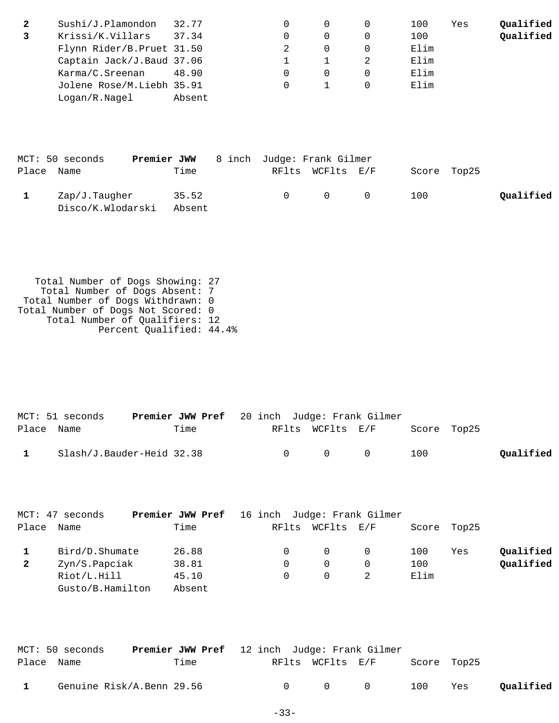| 2 | Sushi/J.Plamondon          | 32.77  |  | 100  | Yes | Qualified |
|---|----------------------------|--------|--|------|-----|-----------|
|   | Krissi/K.Villars           | 37.34  |  | 100  |     | Qualified |
|   | Flynn Rider/B. Pruet 31.50 |        |  | Elim |     |           |
|   | Captain Jack/J.Baud 37.06  |        |  | Elim |     |           |
|   | Karma/C.Sreenan            | 48.90  |  | Elim |     |           |
|   | Jolene Rose/M.Liebh 35.91  |        |  | Elim |     |           |
|   | Logan/R.Nagel              | Absent |  |      |     |           |

|            | MCT: 50 seconds                    | Premier JWW     | 8 inch Judge: Frank Gilmer |                  |             |           |
|------------|------------------------------------|-----------------|----------------------------|------------------|-------------|-----------|
| Place Name |                                    | Time            |                            | RFlts WCFlts E/F | Score Top25 |           |
|            | Zap/J.Taugher<br>Disco/K.Wlodarski | 35.52<br>Absent | $\Omega$ and $\Omega$      | $\Omega$ 0       | 100         | Oualified |

 Total Number of Dogs Showing: 27 Total Number of Dogs Absent: 7 Total Number of Dogs Withdrawn: 0 Total Number of Dogs Not Scored: 0 Total Number of Qualifiers: 12 Percent Qualified: 44.4%

|              | MCT: 51 seconds           | <b>Premier JWW Pref</b> 20 inch Judge: Frank Gilmer |  |                                         |                  |             |           |
|--------------|---------------------------|-----------------------------------------------------|--|-----------------------------------------|------------------|-------------|-----------|
| Place Name   |                           | Time                                                |  |                                         | RFlts WCFlts E/F | Score Top25 |           |
| $\mathbf{1}$ | Slash/J.Bauder-Heid 32.38 |                                                     |  | $\begin{matrix} 0 & 0 & 0 \end{matrix}$ |                  | 100         | Qualified |

|              | MCT: 47 seconds  | <b>Premier JWW Pref</b> 16 inch Judge: Frank Gilmer |       |            |          |      |             |           |
|--------------|------------------|-----------------------------------------------------|-------|------------|----------|------|-------------|-----------|
| Place        | Name             | Time                                                | RFlts | WCFlts E/F |          |      | Score Top25 |           |
|              | Bird/D.Shumate   | 26.88                                               |       | $\Omega$   | $\Omega$ | 100  | Yes         | Qualified |
| $\mathbf{2}$ | Zyn/S.Papciak    | 38.81                                               |       | $\Omega$   |          | 100  |             | Qualified |
|              | Riot/L.Hill      | 45.10                                               |       | $\Omega$   |          | Elim |             |           |
|              | Gusto/B.Hamilton | Absent                                              |       |            |          |      |             |           |

|              | MCT: 50 seconds           | <b>Premier JWW Pref</b> 12 inch Judge: Frank Gilmer |              |                                     |     |     |           |
|--------------|---------------------------|-----------------------------------------------------|--------------|-------------------------------------|-----|-----|-----------|
| Place Name   |                           | Time                                                |              | RFlts WCFlts E/F Score Top25        |     |     |           |
| $\mathbf{1}$ | Genuine Risk/A.Benn 29.56 |                                                     | $\mathbf{0}$ | $\begin{matrix} 0 & 0 \end{matrix}$ | 100 | Yes | Qualified |